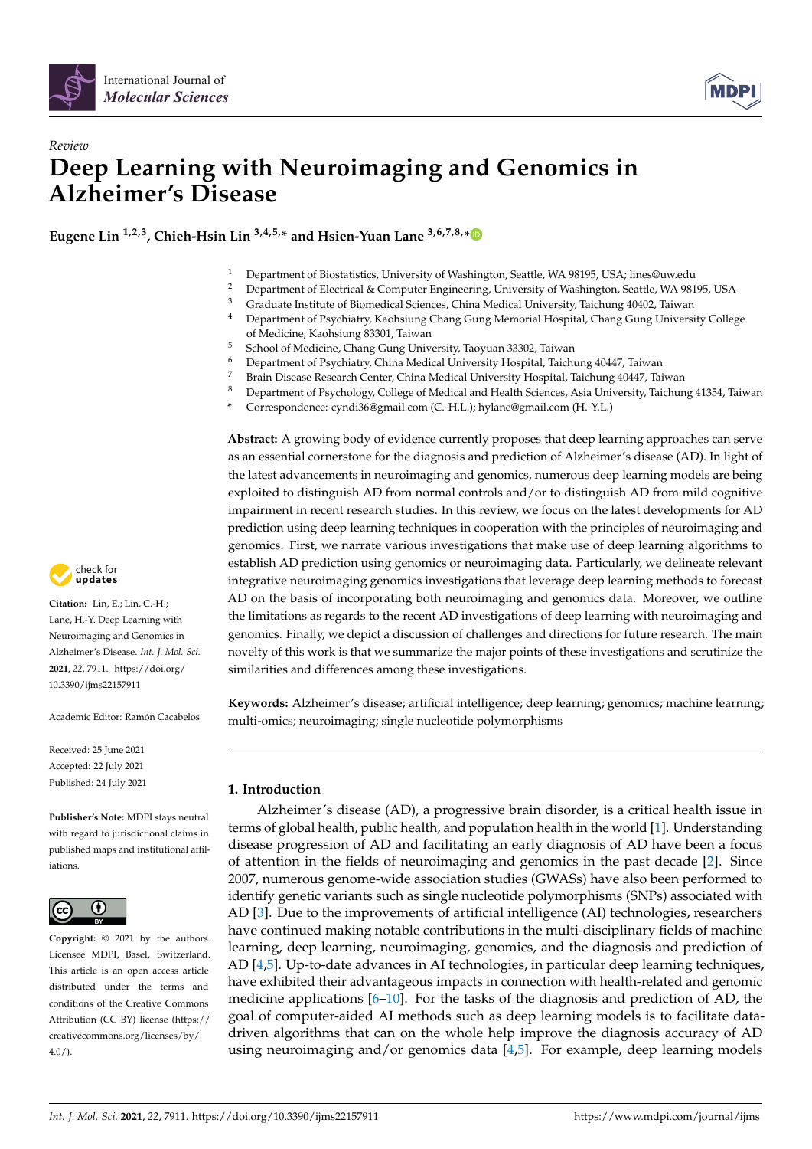

# *Review* **Deep Learning with Neuroimaging and Genomics in Alzheimer's Disease**

**Eugene Lin 1,2,3, Chieh-Hsin Lin 3,4,5,\* and Hsien-Yuan Lane 3,6,7,8,[\\*](https://orcid.org/0000-0003-2162-8174)**

- <sup>1</sup> Department of Biostatistics, University of Washington, Seattle, WA 98195, USA; lines@uw.edu
- <sup>2</sup> Department of Electrical & Computer Engineering, University of Washington, Seattle, WA 98195, USA
- <sup>3</sup> Graduate Institute of Biomedical Sciences, China Medical University, Taichung 40402, Taiwan<br><sup>4</sup> Department of Brushiston Kashsiyas Chana Guna Monarial Usanital Chana Guna University
- <sup>4</sup> Department of Psychiatry, Kaohsiung Chang Gung Memorial Hospital, Chang Gung University College of Medicine, Kaohsiung 83301, Taiwan
- <sup>5</sup> School of Medicine, Chang Gung University, Taoyuan 33302, Taiwan
- <sup>6</sup> Department of Psychiatry, China Medical University Hospital, Taichung 40447, Taiwan
- <sup>7</sup> Brain Disease Research Center, China Medical University Hospital, Taichung 40447, Taiwan
- 8 Department of Psychology, College of Medical and Health Sciences, Asia University, Taichung 41354, Taiwan
- **\*** Correspondence: cyndi36@gmail.com (C.-H.L.); hylane@gmail.com (H.-Y.L.)

**Abstract:** A growing body of evidence currently proposes that deep learning approaches can serve as an essential cornerstone for the diagnosis and prediction of Alzheimer's disease (AD). In light of the latest advancements in neuroimaging and genomics, numerous deep learning models are being exploited to distinguish AD from normal controls and/or to distinguish AD from mild cognitive impairment in recent research studies. In this review, we focus on the latest developments for AD prediction using deep learning techniques in cooperation with the principles of neuroimaging and genomics. First, we narrate various investigations that make use of deep learning algorithms to establish AD prediction using genomics or neuroimaging data. Particularly, we delineate relevant integrative neuroimaging genomics investigations that leverage deep learning methods to forecast AD on the basis of incorporating both neuroimaging and genomics data. Moreover, we outline the limitations as regards to the recent AD investigations of deep learning with neuroimaging and genomics. Finally, we depict a discussion of challenges and directions for future research. The main novelty of this work is that we summarize the major points of these investigations and scrutinize the similarities and differences among these investigations.

**Keywords:** Alzheimer's disease; artificial intelligence; deep learning; genomics; machine learning; multi-omics; neuroimaging; single nucleotide polymorphisms

# **1. Introduction**

Alzheimer's disease (AD), a progressive brain disorder, is a critical health issue in terms of global health, public health, and population health in the world [\[1\]](#page-16-0). Understanding disease progression of AD and facilitating an early diagnosis of AD have been a focus of attention in the fields of neuroimaging and genomics in the past decade [\[2\]](#page-16-1). Since 2007, numerous genome-wide association studies (GWASs) have also been performed to identify genetic variants such as single nucleotide polymorphisms (SNPs) associated with AD [\[3\]](#page-16-2). Due to the improvements of artificial intelligence (AI) technologies, researchers have continued making notable contributions in the multi-disciplinary fields of machine learning, deep learning, neuroimaging, genomics, and the diagnosis and prediction of AD [\[4,](#page-16-3)[5\]](#page-16-4). Up-to-date advances in AI technologies, in particular deep learning techniques, have exhibited their advantageous impacts in connection with health-related and genomic medicine applications  $[6–10]$  $[6–10]$ . For the tasks of the diagnosis and prediction of AD, the goal of computer-aided AI methods such as deep learning models is to facilitate datadriven algorithms that can on the whole help improve the diagnosis accuracy of AD using neuroimaging and/or genomics data [\[4,](#page-16-3)[5\]](#page-16-4). For example, deep learning models



**Citation:** Lin, E.; Lin, C.-H.; Lane, H.-Y. Deep Learning with Neuroimaging and Genomics in Alzheimer's Disease. *Int. J. Mol. Sci.* **2021**, *22*, 7911. [https://doi.org/](https://doi.org/10.3390/ijms22157911) [10.3390/ijms22157911](https://doi.org/10.3390/ijms22157911)

Academic Editor: Ramón Cacabelos

Received: 25 June 2021 Accepted: 22 July 2021 Published: 24 July 2021

**Publisher's Note:** MDPI stays neutral with regard to jurisdictional claims in published maps and institutional affiliations.



**Copyright:** © 2021 by the authors. Licensee MDPI, Basel, Switzerland. This article is an open access article distributed under the terms and conditions of the Creative Commons Attribution (CC BY) license (https:/[/](https://creativecommons.org/licenses/by/4.0/) [creativecommons.org/licenses/by/](https://creativecommons.org/licenses/by/4.0/)  $4.0/$ ).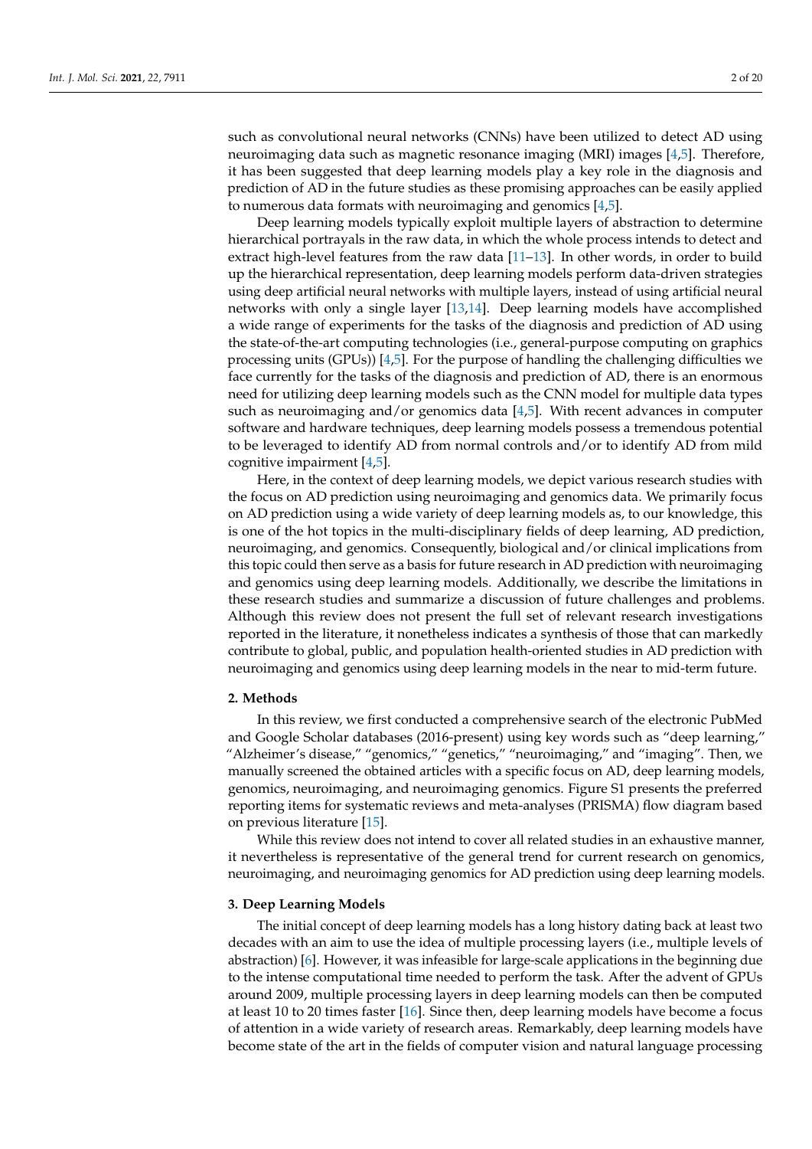such as convolutional neural networks (CNNs) have been utilized to detect AD using neuroimaging data such as magnetic resonance imaging (MRI) images [\[4](#page-16-3)[,5\]](#page-16-4). Therefore, it has been suggested that deep learning models play a key role in the diagnosis and prediction of AD in the future studies as these promising approaches can be easily applied to numerous data formats with neuroimaging and genomics [\[4](#page-16-3)[,5\]](#page-16-4).

Deep learning models typically exploit multiple layers of abstraction to determine hierarchical portrayals in the raw data, in which the whole process intends to detect and extract high-level features from the raw data [\[11–](#page-16-7)[13\]](#page-16-8). In other words, in order to build up the hierarchical representation, deep learning models perform data-driven strategies using deep artificial neural networks with multiple layers, instead of using artificial neural networks with only a single layer [\[13](#page-16-8)[,14\]](#page-16-9). Deep learning models have accomplished a wide range of experiments for the tasks of the diagnosis and prediction of AD using the state-of-the-art computing technologies (i.e., general-purpose computing on graphics processing units (GPUs)) [\[4,](#page-16-3)[5\]](#page-16-4). For the purpose of handling the challenging difficulties we face currently for the tasks of the diagnosis and prediction of AD, there is an enormous need for utilizing deep learning models such as the CNN model for multiple data types such as neuroimaging and/or genomics data [\[4](#page-16-3)[,5\]](#page-16-4). With recent advances in computer software and hardware techniques, deep learning models possess a tremendous potential to be leveraged to identify AD from normal controls and/or to identify AD from mild cognitive impairment [\[4](#page-16-3)[,5\]](#page-16-4).

Here, in the context of deep learning models, we depict various research studies with the focus on AD prediction using neuroimaging and genomics data. We primarily focus on AD prediction using a wide variety of deep learning models as, to our knowledge, this is one of the hot topics in the multi-disciplinary fields of deep learning, AD prediction, neuroimaging, and genomics. Consequently, biological and/or clinical implications from this topic could then serve as a basis for future research in AD prediction with neuroimaging and genomics using deep learning models. Additionally, we describe the limitations in these research studies and summarize a discussion of future challenges and problems. Although this review does not present the full set of relevant research investigations reported in the literature, it nonetheless indicates a synthesis of those that can markedly contribute to global, public, and population health-oriented studies in AD prediction with neuroimaging and genomics using deep learning models in the near to mid-term future.

# **2. Methods**

In this review, we first conducted a comprehensive search of the electronic PubMed and Google Scholar databases (2016-present) using key words such as "deep learning," "Alzheimer's disease," "genomics," "genetics," "neuroimaging," and "imaging". Then, we manually screened the obtained articles with a specific focus on AD, deep learning models, genomics, neuroimaging, and neuroimaging genomics. Figure S1 presents the preferred reporting items for systematic reviews and meta-analyses (PRISMA) flow diagram based on previous literature [\[15\]](#page-16-10).

While this review does not intend to cover all related studies in an exhaustive manner, it nevertheless is representative of the general trend for current research on genomics, neuroimaging, and neuroimaging genomics for AD prediction using deep learning models.

#### **3. Deep Learning Models**

The initial concept of deep learning models has a long history dating back at least two decades with an aim to use the idea of multiple processing layers (i.e., multiple levels of abstraction) [\[6\]](#page-16-5). However, it was infeasible for large-scale applications in the beginning due to the intense computational time needed to perform the task. After the advent of GPUs around 2009, multiple processing layers in deep learning models can then be computed at least 10 to 20 times faster [\[16\]](#page-16-11). Since then, deep learning models have become a focus of attention in a wide variety of research areas. Remarkably, deep learning models have become state of the art in the fields of computer vision and natural language processing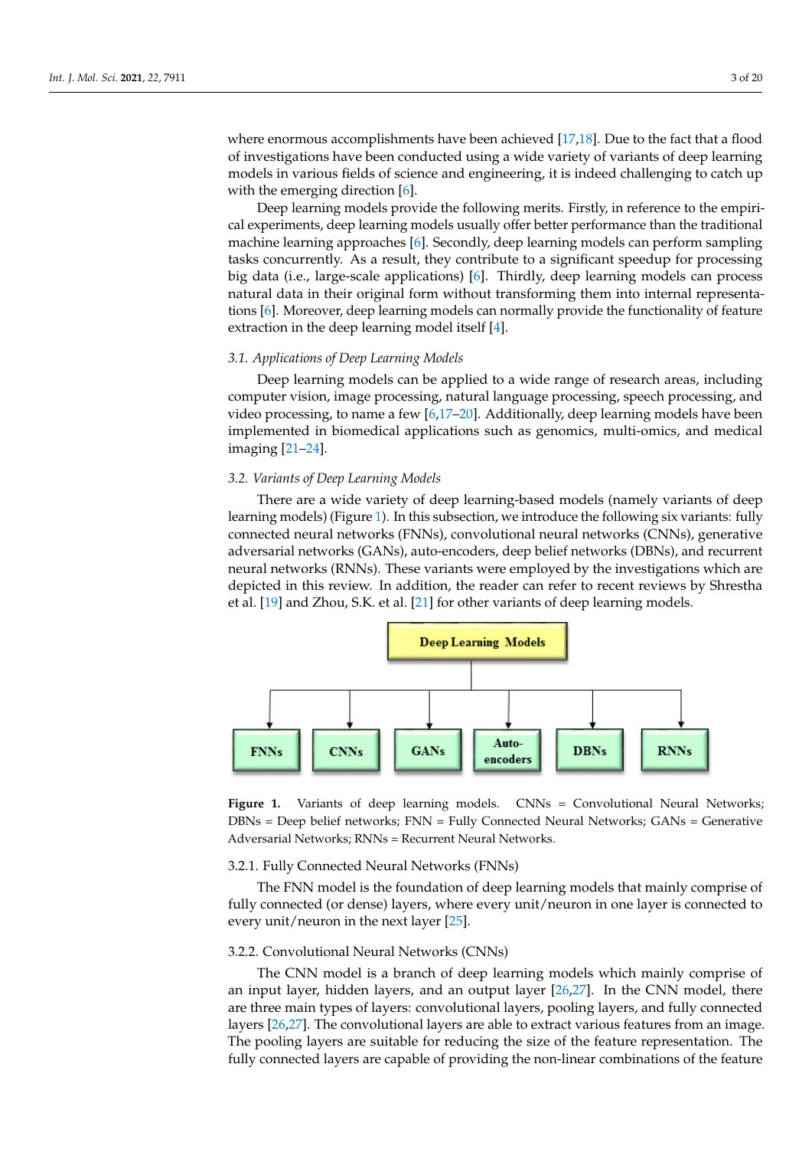where enormous accomplishments have been achieved  $[17,18]$  $[17,18]$ . Due to the fact that a flood of investigations have been conducted using a wide variety of variants of deep learning models in various fields of science and engineering, it is indeed challenging to catch up with the emerging direction [\[6\]](#page-16-5).  $\blacksquare$ 

Deep learning models provide the following merits. Firstly, in reference to the empirical experiments, deep learning models usually offer better performance than the traditional machine learning approaches [\[6\]](#page-16-5). Secondly, deep learning models can perform sampling tasks concurrently. As a result, they contribute to a significant speedup for processing big data (i.e., large-scale applications) [\[6\]](#page-16-5). Thirdly, deep learning models can process natural data in their original form without transforming them into internal representa-tions [\[6\]](#page-16-5). Moreover, deep learning models can normally provide the functionality of feature extraction in the deep learning model itself  $[4]$ .

# 3.1. Applications of Deep Learning Models

...<br>Deep learning models can be applied to a wide range of research areas, including Let the computer vision, image processing, natural language processing, speech processing, and computer vision, image processing, natural language processing, speech processing, and video processing, to name a few  $[6,17-20]$  $[6,17-20]$  $[6,17-20]$ . Additionally, deep learning models have been implemented in biomedical applications such as genomics, multi-omics, and medical<br>*imaging* [21, 24] imaging [\[21](#page-16-15)[–24\]](#page-16-16).

# *3.2. Variants of Deep Learning Models* (Figure 1). In this subsection, we introduce the following six variants:  $\theta$

There are a wide variety of deep learning-based models (namely variants of deep learning models) (Figure 1). In this subsection, we introduce the following six v[ari](#page-2-0)ants: fully connected neural networks (FNNs), convolutional neural networks (CNNs), generative adversarial networks (GANs), auto-encoders, deep belief networks (DBNs), and recurrent neural networks (RNNs). These variants were employed by the investigations which are depicted in this review. In addition, the reader can refer to recent reviews by Shrestha et al. [\[19\]](#page-16-17) and Zhou, S.K. et al. [\[21\]](#page-16-15) for other variants of deep learning models.

<span id="page-2-0"></span>

Adversarial Networks; RNNs = Recurrent Neural Networks. = Fully Connected Neural Networks; GANs = Generative Adversarial Networks; RNNs = Recurrent Neural Networks. **Figure 1.** Variants of deep learning models. CNNs = Convolutional Neural Networks; DBNs = Deep belief networks; FNN = Fully Connected Neural Networks; GANs = Generative

# <span id="page-2-1"></span>3.2.1. Fully Connected Neural Networks (FNNs)

The FNN model is the foundation of deep learning models that mainly comprise of fully connected (or dense) layers, where every unit/neuron in one layer is connected to every unit/neuron in the next layer [\[25\]](#page-16-18).

#### <span id="page-2-2"></span>3.2.2. Convolutional Neural Networks (CNNs)

The CNN model is a branch of deep learning models which mainly comprise of an input layer, hidden layers, and an output layer [\[26](#page-16-19)[,27\]](#page-17-0). In the CNN model, there are three main types of layers: convolutional layers, pooling layers, and fully connected layers [\[26](#page-16-19)[,27\]](#page-17-0). The convolutional layers are able to extract various features from an image. The pooling layers are suitable for reducing the size of the feature representation. The fully connected layers are capable of providing the non-linear combinations of the feature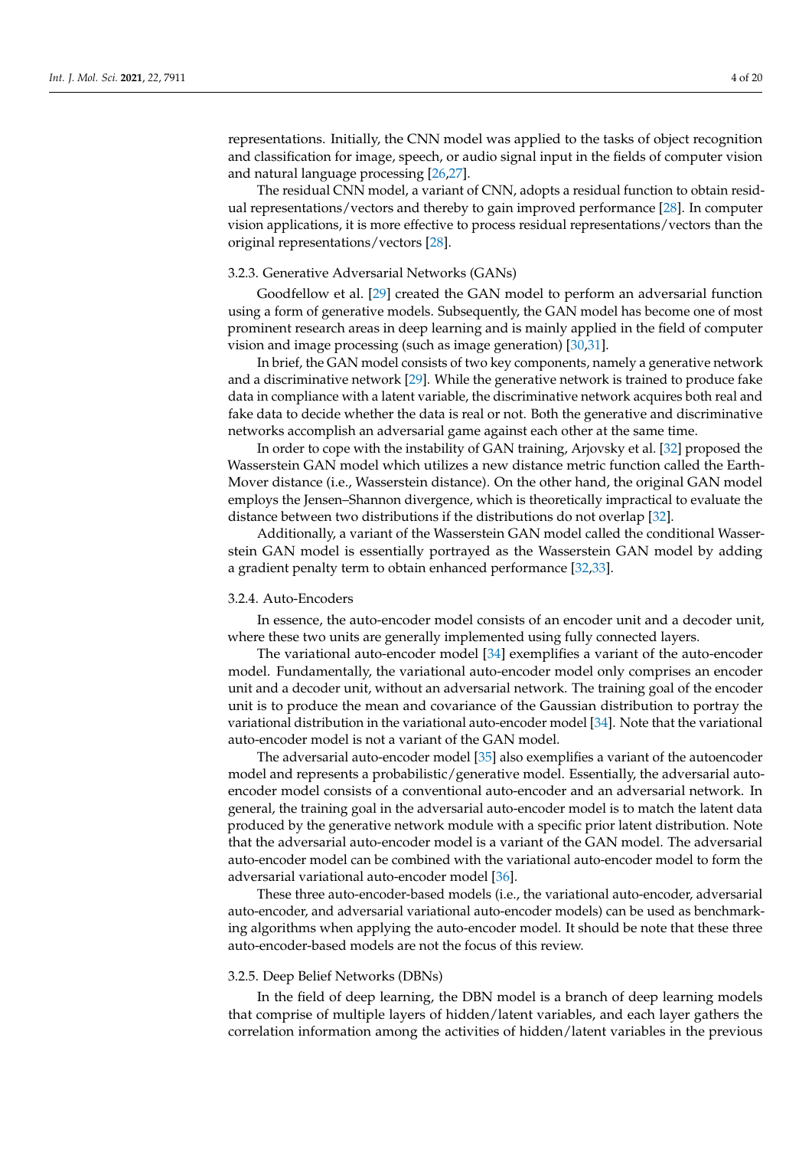representations. Initially, the CNN model was applied to the tasks of object recognition and classification for image, speech, or audio signal input in the fields of computer vision and natural language processing [\[26](#page-16-19)[,27\]](#page-17-0).

The residual CNN model, a variant of CNN, adopts a residual function to obtain residual representations/vectors and thereby to gain improved performance [\[28\]](#page-17-1). In computer vision applications, it is more effective to process residual representations/vectors than the original representations/vectors [\[28\]](#page-17-1).

#### <span id="page-3-1"></span>3.2.3. Generative Adversarial Networks (GANs)

Goodfellow et al. [\[29\]](#page-17-2) created the GAN model to perform an adversarial function using a form of generative models. Subsequently, the GAN model has become one of most prominent research areas in deep learning and is mainly applied in the field of computer vision and image processing (such as image generation) [\[30](#page-17-3)[,31\]](#page-17-4).

In brief, the GAN model consists of two key components, namely a generative network and a discriminative network [\[29\]](#page-17-2). While the generative network is trained to produce fake data in compliance with a latent variable, the discriminative network acquires both real and fake data to decide whether the data is real or not. Both the generative and discriminative networks accomplish an adversarial game against each other at the same time.

In order to cope with the instability of GAN training, Arjovsky et al. [\[32\]](#page-17-5) proposed the Wasserstein GAN model which utilizes a new distance metric function called the Earth-Mover distance (i.e., Wasserstein distance). On the other hand, the original GAN model employs the Jensen–Shannon divergence, which is theoretically impractical to evaluate the distance between two distributions if the distributions do not overlap [\[32\]](#page-17-5).

Additionally, a variant of the Wasserstein GAN model called the conditional Wasserstein GAN model is essentially portrayed as the Wasserstein GAN model by adding a gradient penalty term to obtain enhanced performance [\[32](#page-17-5)[,33\]](#page-17-6).

#### <span id="page-3-0"></span>3.2.4. Auto-Encoders

In essence, the auto-encoder model consists of an encoder unit and a decoder unit, where these two units are generally implemented using fully connected layers.

The variational auto-encoder model [\[34\]](#page-17-7) exemplifies a variant of the auto-encoder model. Fundamentally, the variational auto-encoder model only comprises an encoder unit and a decoder unit, without an adversarial network. The training goal of the encoder unit is to produce the mean and covariance of the Gaussian distribution to portray the variational distribution in the variational auto-encoder model [\[34\]](#page-17-7). Note that the variational auto-encoder model is not a variant of the GAN model.

The adversarial auto-encoder model [\[35\]](#page-17-8) also exemplifies a variant of the autoencoder model and represents a probabilistic/generative model. Essentially, the adversarial autoencoder model consists of a conventional auto-encoder and an adversarial network. In general, the training goal in the adversarial auto-encoder model is to match the latent data produced by the generative network module with a specific prior latent distribution. Note that the adversarial auto-encoder model is a variant of the GAN model. The adversarial auto-encoder model can be combined with the variational auto-encoder model to form the adversarial variational auto-encoder model [\[36\]](#page-17-9).

These three auto-encoder-based models (i.e., the variational auto-encoder, adversarial auto-encoder, and adversarial variational auto-encoder models) can be used as benchmarking algorithms when applying the auto-encoder model. It should be note that these three auto-encoder-based models are not the focus of this review.

# <span id="page-3-2"></span>3.2.5. Deep Belief Networks (DBNs)

In the field of deep learning, the DBN model is a branch of deep learning models that comprise of multiple layers of hidden/latent variables, and each layer gathers the correlation information among the activities of hidden/latent variables in the previous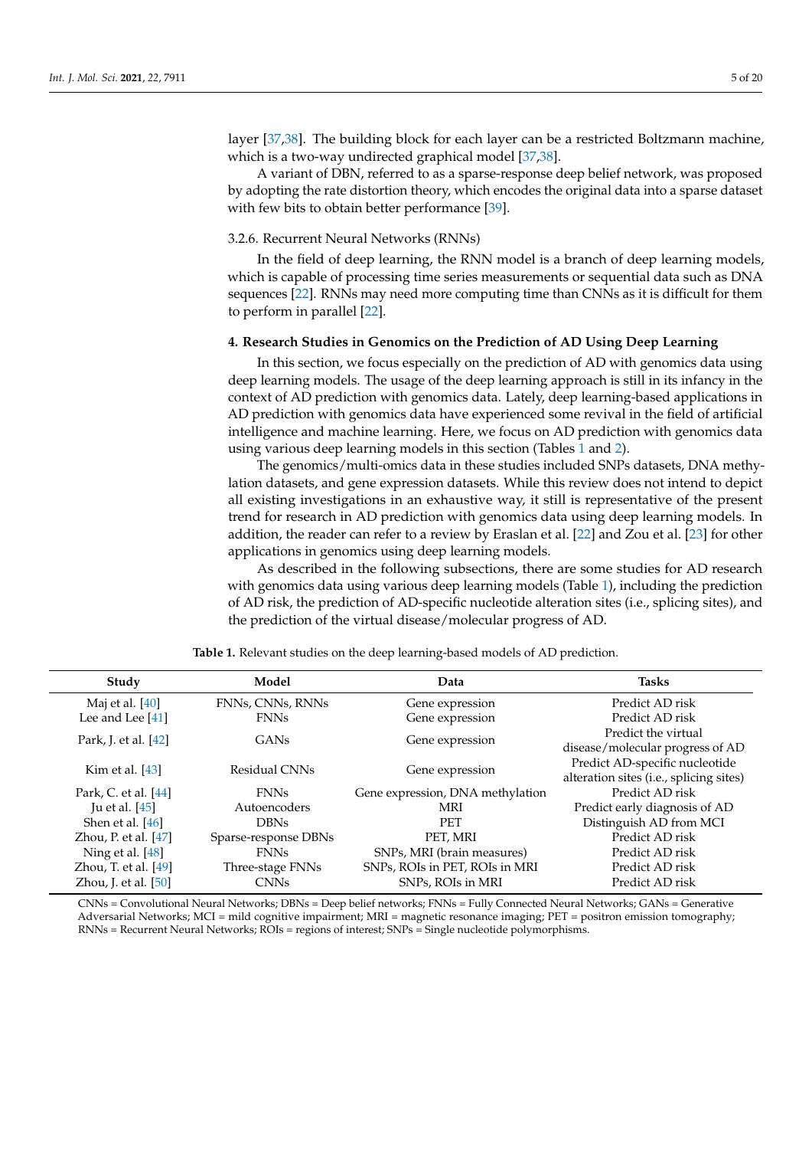layer [\[37,](#page-17-10)[38\]](#page-17-11). The building block for each layer can be a restricted Boltzmann machine, which is a two-way undirected graphical model [\[37](#page-17-10)[,38\]](#page-17-11).

A variant of DBN, referred to as a sparse-response deep belief network, was proposed by adopting the rate distortion theory, which encodes the original data into a sparse dataset with few bits to obtain better performance [\[39\]](#page-17-12).

#### <span id="page-4-1"></span>3.2.6. Recurrent Neural Networks (RNNs)

In the field of deep learning, the RNN model is a branch of deep learning models, which is capable of processing time series measurements or sequential data such as DNA sequences [\[22\]](#page-16-20). RNNs may need more computing time than CNNs as it is difficult for them to perform in parallel [\[22\]](#page-16-20).

# <span id="page-4-2"></span>**4. Research Studies in Genomics on the Prediction of AD Using Deep Learning**

In this section, we focus especially on the prediction of AD with genomics data using deep learning models. The usage of the deep learning approach is still in its infancy in the context of AD prediction with genomics data. Lately, deep learning-based applications in AD prediction with genomics data have experienced some revival in the field of artificial intelligence and machine learning. Here, we focus on AD prediction with genomics data using various deep learning models in this section (Tables [1](#page-4-0) and [2\)](#page-5-0).

The genomics/multi-omics data in these studies included SNPs datasets, DNA methylation datasets, and gene expression datasets. While this review does not intend to depict all existing investigations in an exhaustive way, it still is representative of the present trend for research in AD prediction with genomics data using deep learning models. In addition, the reader can refer to a review by Eraslan et al. [\[22\]](#page-16-20) and Zou et al. [\[23\]](#page-16-21) for other applications in genomics using deep learning models.

As described in the following subsections, there are some studies for AD research with genomics data using various deep learning models (Table [1\)](#page-4-0), including the prediction of AD risk, the prediction of AD-specific nucleotide alteration sites (i.e., splicing sites), and the prediction of the virtual disease/molecular progress of AD.

<span id="page-4-0"></span>

| Study                  | Model                | Data                             | <b>Tasks</b>                            |
|------------------------|----------------------|----------------------------------|-----------------------------------------|
| Maj et al. [40]        | FNNs, CNNs, RNNs     | Gene expression                  | Predict AD risk                         |
| Lee and Lee $[41]$     | <b>FNNs</b>          | Gene expression                  | Predict AD risk                         |
| Park, J. et al. [42]   | GAN <sub>s</sub>     | Gene expression                  | Predict the virtual                     |
|                        |                      |                                  | disease/molecular progress of AD        |
| Kim et al. $[43]$      | Residual CNNs        | Gene expression                  | Predict AD-specific nucleotide          |
|                        |                      |                                  | alteration sites (i.e., splicing sites) |
| Park, C. et al. [44]   | <b>FNNs</b>          | Gene expression, DNA methylation | Predict AD risk                         |
| Ju et al. $[45]$       | Autoencoders         | MRI                              | Predict early diagnosis of AD           |
| Shen et al. [46]       | <b>DBNs</b>          | <b>PET</b>                       | Distinguish AD from MCI                 |
| Zhou, P. et al. $[47]$ | Sparse-response DBNs | PET, MRI                         | Predict AD risk                         |
| Ning et al. [48]       | <b>FNNs</b>          | SNPs, MRI (brain measures)       | Predict AD risk                         |
| Zhou, T. et al. $[49]$ | Three-stage FNNs     | SNPs, ROIs in PET, ROIs in MRI   | Predict AD risk                         |
| Zhou, J. et al. $[50]$ | <b>CNNs</b>          | SNPs, ROIs in MRI                | Predict AD risk                         |

**Table 1.** Relevant studies on the deep learning-based models of AD prediction.

CNNs = Convolutional Neural Networks; DBNs = Deep belief networks; FNNs = Fully Connected Neural Networks; GANs = Generative Adversarial Networks; MCI = mild cognitive impairment; MRI = magnetic resonance imaging; PET = positron emission tomography; RNNs = Recurrent Neural Networks; ROIs = regions of interest; SNPs = Single nucleotide polymorphisms.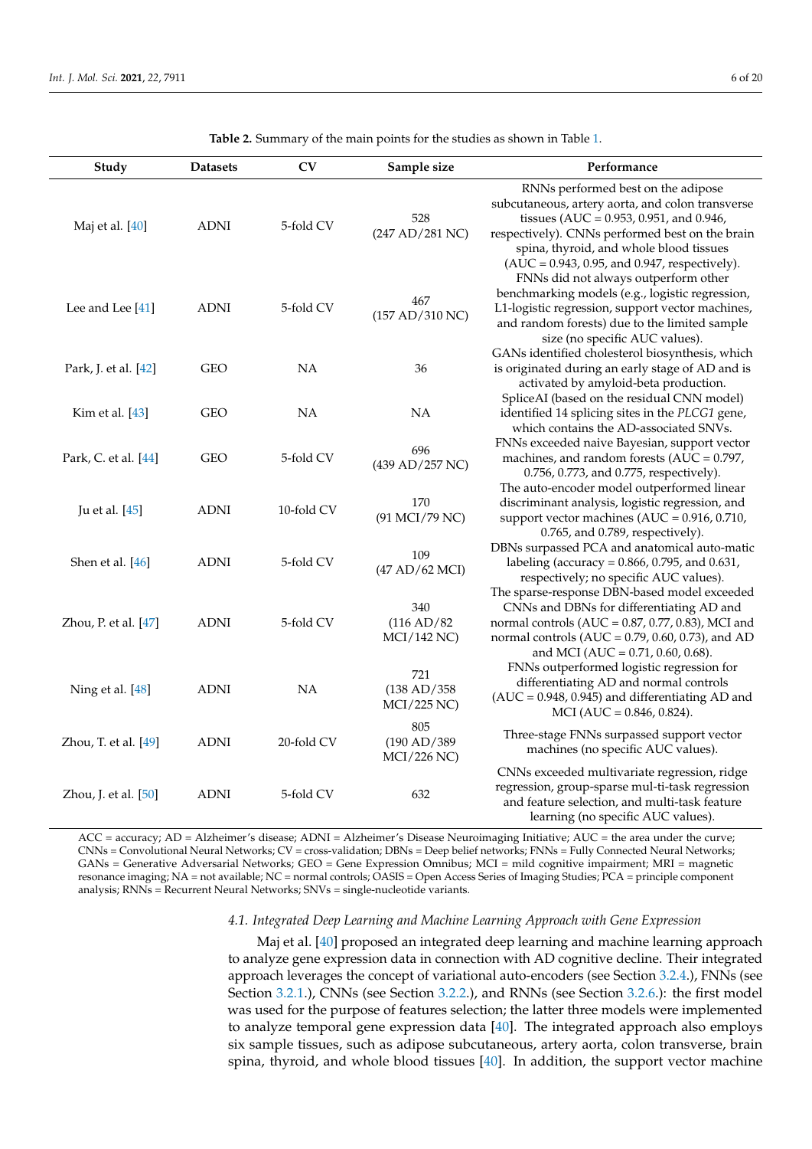<span id="page-5-0"></span>

| Study                | <b>Datasets</b> | CV         | Sample size                              | Performance                                                                                                                                                                                                                                                                               |
|----------------------|-----------------|------------|------------------------------------------|-------------------------------------------------------------------------------------------------------------------------------------------------------------------------------------------------------------------------------------------------------------------------------------------|
| Maj et al. [40]      | <b>ADNI</b>     | 5-fold CV  | 528<br>(247 AD/281 NC)                   | RNNs performed best on the adipose<br>subcutaneous, artery aorta, and colon transverse<br>tissues (AUC = $0.953$ , $0.951$ , and $0.946$ ,<br>respectively). CNNs performed best on the brain<br>spina, thyroid, and whole blood tissues<br>(AUC = 0.943, 0.95, and 0.947, respectively). |
| Lee and Lee [41]     | <b>ADNI</b>     | 5-fold CV  | 467<br>(157 AD/310 NC)                   | FNNs did not always outperform other<br>benchmarking models (e.g., logistic regression,<br>L1-logistic regression, support vector machines,<br>and random forests) due to the limited sample<br>size (no specific AUC values).                                                            |
| Park, J. et al. [42] | GEO             | <b>NA</b>  | 36                                       | GANs identified cholesterol biosynthesis, which<br>is originated during an early stage of AD and is<br>activated by amyloid-beta production.                                                                                                                                              |
| Kim et al. [43]      | <b>GEO</b>      | <b>NA</b>  | <b>NA</b>                                | SpliceAI (based on the residual CNN model)<br>identified 14 splicing sites in the PLCG1 gene,<br>which contains the AD-associated SNVs.                                                                                                                                                   |
| Park, C. et al. [44] | GEO             | 5-fold CV  | 696<br>(439 AD/257 NC)                   | FNNs exceeded naive Bayesian, support vector<br>machines, and random forests ( $AUC = 0.797$ ,<br>0.756, 0.773, and 0.775, respectively).                                                                                                                                                 |
| Ju et al. [45]       | <b>ADNI</b>     | 10-fold CV | 170<br>(91 MCI/79 NC)                    | The auto-encoder model outperformed linear<br>discriminant analysis, logistic regression, and<br>support vector machines (AUC = $0.916$ , $0.710$ ,<br>0.765, and 0.789, respectively).                                                                                                   |
| Shen et al. [46]     | <b>ADNI</b>     | 5-fold CV  | 109<br>(47 AD/62 MCI)                    | DBNs surpassed PCA and anatomical auto-matic<br>labeling (accuracy = $0.866$ , 0.795, and 0.631,<br>respectively; no specific AUC values).                                                                                                                                                |
| Zhou, P. et al. [47] | <b>ADNI</b>     | 5-fold CV  | 340<br>(116 AD/82)<br>MCI/142 NC)        | The sparse-response DBN-based model exceeded<br>CNNs and DBNs for differentiating AD and<br>normal controls (AUC = $0.87$ , $0.77$ , $0.83$ ), MCI and<br>normal controls (AUC = $0.79$ , $0.60$ , $0.73$ ), and AD<br>and MCI (AUC = $0.71$ , $0.60$ , $0.68$ ).                         |
| Ning et al. [48]     | <b>ADNI</b>     | NA         | 721<br>(138 AD/358<br>MCI/225 NC)        | FNNs outperformed logistic regression for<br>differentiating AD and normal controls<br>$(AUC = 0.948, 0.945)$ and differentiating AD and<br>$MCI (AUC = 0.846, 0.824).$                                                                                                                   |
| Zhou, T. et al. [49] | <b>ADNI</b>     | 20-fold CV | 805<br>(190 AD/389<br><b>MCI/226 NC)</b> | Three-stage FNNs surpassed support vector<br>machines (no specific AUC values).                                                                                                                                                                                                           |
| Zhou, J. et al. [50] | <b>ADNI</b>     | 5-fold CV  | 632                                      | CNNs exceeded multivariate regression, ridge<br>regression, group-sparse mul-ti-task regression<br>and feature selection, and multi-task feature<br>learning (no specific AUC values).                                                                                                    |

**Table 2.** Summary of the main points for the studies as shown in Table [1.](#page-4-0)

ACC = accuracy; AD = Alzheimer's disease; ADNI = Alzheimer's Disease Neuroimaging Initiative; AUC = the area under the curve; CNNs = Convolutional Neural Networks; CV = cross-validation; DBNs = Deep belief networks; FNNs = Fully Connected Neural Networks; GANs = Generative Adversarial Networks; GEO = Gene Expression Omnibus; MCI = mild cognitive impairment; MRI = magnetic resonance imaging; NA = not available; NC = normal controls; OASIS = Open Access Series of Imaging Studies; PCA = principle component analysis; RNNs = Recurrent Neural Networks; SNVs = single-nucleotide variants.

#### *4.1. Integrated Deep Learning and Machine Learning Approach with Gene Expression*

Maj et al. [\[40\]](#page-17-13) proposed an integrated deep learning and machine learning approach to analyze gene expression data in connection with AD cognitive decline. Their integrated approach leverages the concept of variational auto-encoders (see Section [3.2.4.](#page-3-0)), FNNs (see Section [3.2.1.](#page-2-1)), CNNs (see Section [3.2.2.](#page-2-2)), and RNNs (see Section [3.2.6.](#page-4-1)): the first model was used for the purpose of features selection; the latter three models were implemented to analyze temporal gene expression data [\[40\]](#page-17-13). The integrated approach also employs six sample tissues, such as adipose subcutaneous, artery aorta, colon transverse, brain spina, thyroid, and whole blood tissues [\[40\]](#page-17-13). In addition, the support vector machine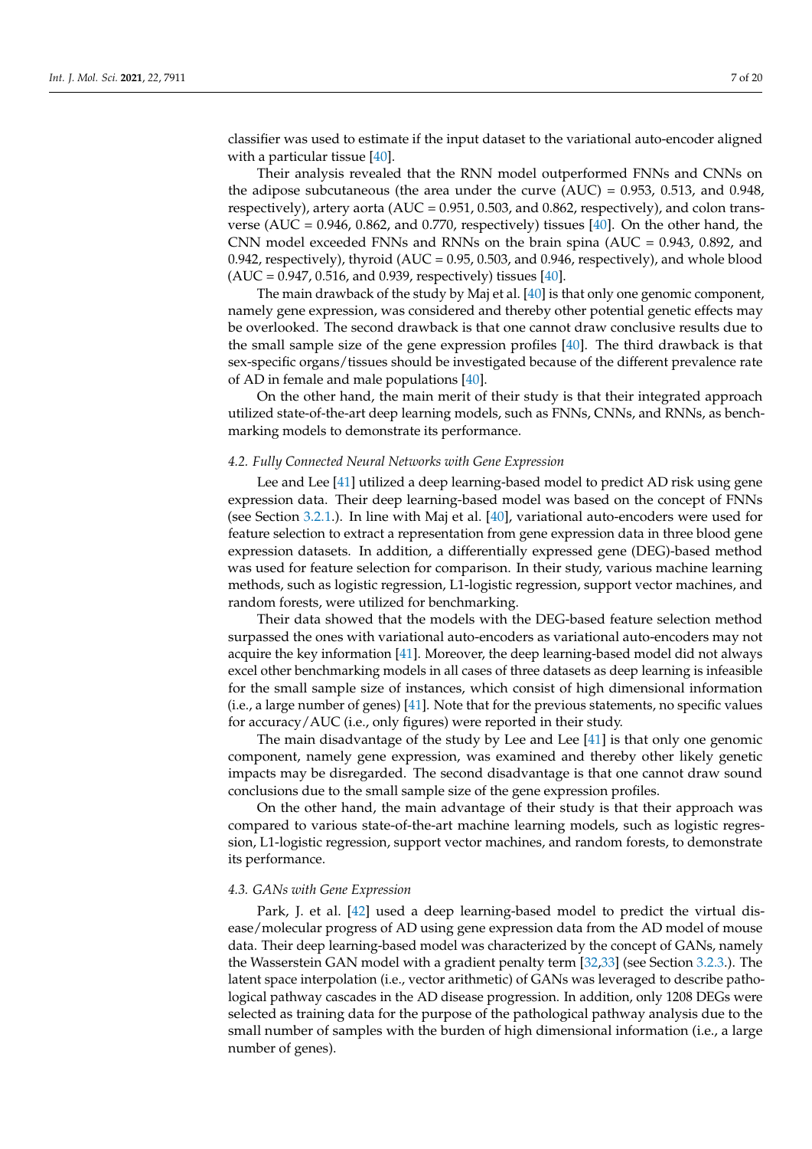classifier was used to estimate if the input dataset to the variational auto-encoder aligned with a particular tissue [\[40\]](#page-17-13).

Their analysis revealed that the RNN model outperformed FNNs and CNNs on the adipose subcutaneous (the area under the curve  $(AUC) = 0.953$ , 0.513, and 0.948, respectively), artery aorta ( $AUC = 0.951$ , 0.503, and 0.862, respectively), and colon transverse (AUC =  $0.946$ ,  $0.862$ , and  $0.770$ , respectively) tissues [\[40\]](#page-17-13). On the other hand, the CNN model exceeded FNNs and RNNs on the brain spina (AUC = 0.943, 0.892, and 0.942, respectively), thyroid (AUC = 0.95, 0.503, and 0.946, respectively), and whole blood  $(AUC = 0.947, 0.516, and 0.939, respectively)$  tissues [\[40\]](#page-17-13).

The main drawback of the study by Maj et al. [\[40\]](#page-17-13) is that only one genomic component, namely gene expression, was considered and thereby other potential genetic effects may be overlooked. The second drawback is that one cannot draw conclusive results due to the small sample size of the gene expression profiles [\[40\]](#page-17-13). The third drawback is that sex-specific organs/tissues should be investigated because of the different prevalence rate of AD in female and male populations [\[40\]](#page-17-13).

On the other hand, the main merit of their study is that their integrated approach utilized state-of-the-art deep learning models, such as FNNs, CNNs, and RNNs, as benchmarking models to demonstrate its performance.

#### *4.2. Fully Connected Neural Networks with Gene Expression*

Lee and Lee [\[41\]](#page-17-14) utilized a deep learning-based model to predict AD risk using gene expression data. Their deep learning-based model was based on the concept of FNNs (see Section [3.2.1.](#page-2-1)). In line with Maj et al. [\[40\]](#page-17-13), variational auto-encoders were used for feature selection to extract a representation from gene expression data in three blood gene expression datasets. In addition, a differentially expressed gene (DEG)-based method was used for feature selection for comparison. In their study, various machine learning methods, such as logistic regression, L1-logistic regression, support vector machines, and random forests, were utilized for benchmarking.

Their data showed that the models with the DEG-based feature selection method surpassed the ones with variational auto-encoders as variational auto-encoders may not acquire the key information [\[41\]](#page-17-14). Moreover, the deep learning-based model did not always excel other benchmarking models in all cases of three datasets as deep learning is infeasible for the small sample size of instances, which consist of high dimensional information (i.e., a large number of genes) [\[41\]](#page-17-14). Note that for the previous statements, no specific values for accuracy/AUC (i.e., only figures) were reported in their study.

The main disadvantage of the study by Lee and Lee  $[41]$  is that only one genomic component, namely gene expression, was examined and thereby other likely genetic impacts may be disregarded. The second disadvantage is that one cannot draw sound conclusions due to the small sample size of the gene expression profiles.

On the other hand, the main advantage of their study is that their approach was compared to various state-of-the-art machine learning models, such as logistic regression, L1-logistic regression, support vector machines, and random forests, to demonstrate its performance.

#### *4.3. GANs with Gene Expression*

Park, J. et al. [\[42\]](#page-17-15) used a deep learning-based model to predict the virtual disease/molecular progress of AD using gene expression data from the AD model of mouse data. Their deep learning-based model was characterized by the concept of GANs, namely the Wasserstein GAN model with a gradient penalty term [\[32](#page-17-5)[,33\]](#page-17-6) (see Section [3.2.3.](#page-3-1)). The latent space interpolation (i.e., vector arithmetic) of GANs was leveraged to describe pathological pathway cascades in the AD disease progression. In addition, only 1208 DEGs were selected as training data for the purpose of the pathological pathway analysis due to the small number of samples with the burden of high dimensional information (i.e., a large number of genes).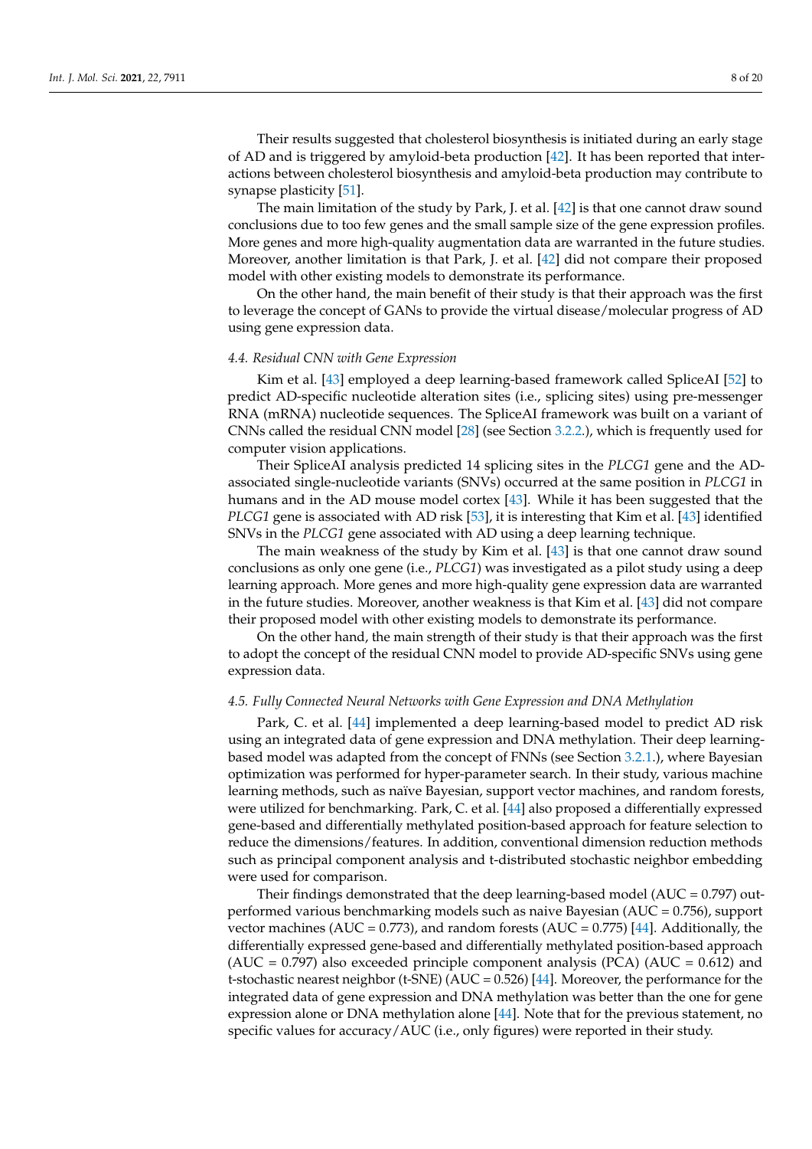Their results suggested that cholesterol biosynthesis is initiated during an early stage of AD and is triggered by amyloid-beta production [\[42\]](#page-17-15). It has been reported that interactions between cholesterol biosynthesis and amyloid-beta production may contribute to synapse plasticity [\[51\]](#page-17-24).

The main limitation of the study by Park, J. et al. [\[42\]](#page-17-15) is that one cannot draw sound conclusions due to too few genes and the small sample size of the gene expression profiles. More genes and more high-quality augmentation data are warranted in the future studies. Moreover, another limitation is that Park, J. et al. [\[42\]](#page-17-15) did not compare their proposed model with other existing models to demonstrate its performance.

On the other hand, the main benefit of their study is that their approach was the first to leverage the concept of GANs to provide the virtual disease/molecular progress of AD using gene expression data.

#### *4.4. Residual CNN with Gene Expression*

Kim et al. [\[43\]](#page-17-16) employed a deep learning-based framework called SpliceAI [\[52\]](#page-17-25) to predict AD-specific nucleotide alteration sites (i.e., splicing sites) using pre-messenger RNA (mRNA) nucleotide sequences. The SpliceAI framework was built on a variant of CNNs called the residual CNN model [\[28\]](#page-17-1) (see Section [3.2.2.](#page-2-2)), which is frequently used for computer vision applications.

Their SpliceAI analysis predicted 14 splicing sites in the *PLCG1* gene and the ADassociated single-nucleotide variants (SNVs) occurred at the same position in *PLCG1* in humans and in the AD mouse model cortex [\[43\]](#page-17-16). While it has been suggested that the *PLCG1* gene is associated with AD risk [\[53\]](#page-17-26), it is interesting that Kim et al. [\[43\]](#page-17-16) identified SNVs in the *PLCG1* gene associated with AD using a deep learning technique.

The main weakness of the study by Kim et al. [\[43\]](#page-17-16) is that one cannot draw sound conclusions as only one gene (i.e., *PLCG1*) was investigated as a pilot study using a deep learning approach. More genes and more high-quality gene expression data are warranted in the future studies. Moreover, another weakness is that Kim et al. [\[43\]](#page-17-16) did not compare their proposed model with other existing models to demonstrate its performance.

On the other hand, the main strength of their study is that their approach was the first to adopt the concept of the residual CNN model to provide AD-specific SNVs using gene expression data.

# *4.5. Fully Connected Neural Networks with Gene Expression and DNA Methylation*

Park, C. et al. [\[44\]](#page-17-17) implemented a deep learning-based model to predict AD risk using an integrated data of gene expression and DNA methylation. Their deep learningbased model was adapted from the concept of FNNs (see Section [3.2.1.](#page-2-1)), where Bayesian optimization was performed for hyper-parameter search. In their study, various machine learning methods, such as naïve Bayesian, support vector machines, and random forests, were utilized for benchmarking. Park, C. et al. [\[44\]](#page-17-17) also proposed a differentially expressed gene-based and differentially methylated position-based approach for feature selection to reduce the dimensions/features. In addition, conventional dimension reduction methods such as principal component analysis and t-distributed stochastic neighbor embedding were used for comparison.

Their findings demonstrated that the deep learning-based model (AUC = 0.797) outperformed various benchmarking models such as naive Bayesian (AUC = 0.756), support vector machines (AUC =  $0.773$ ), and random forests (AUC =  $0.775$ ) [\[44\]](#page-17-17). Additionally, the differentially expressed gene-based and differentially methylated position-based approach (AUC = 0.797) also exceeded principle component analysis (PCA) (AUC =  $0.612$ ) and t-stochastic nearest neighbor (t-SNE) ( $AUC = 0.526$ ) [\[44\]](#page-17-17). Moreover, the performance for the integrated data of gene expression and DNA methylation was better than the one for gene expression alone or DNA methylation alone [\[44\]](#page-17-17). Note that for the previous statement, no specific values for accuracy/AUC (i.e., only figures) were reported in their study.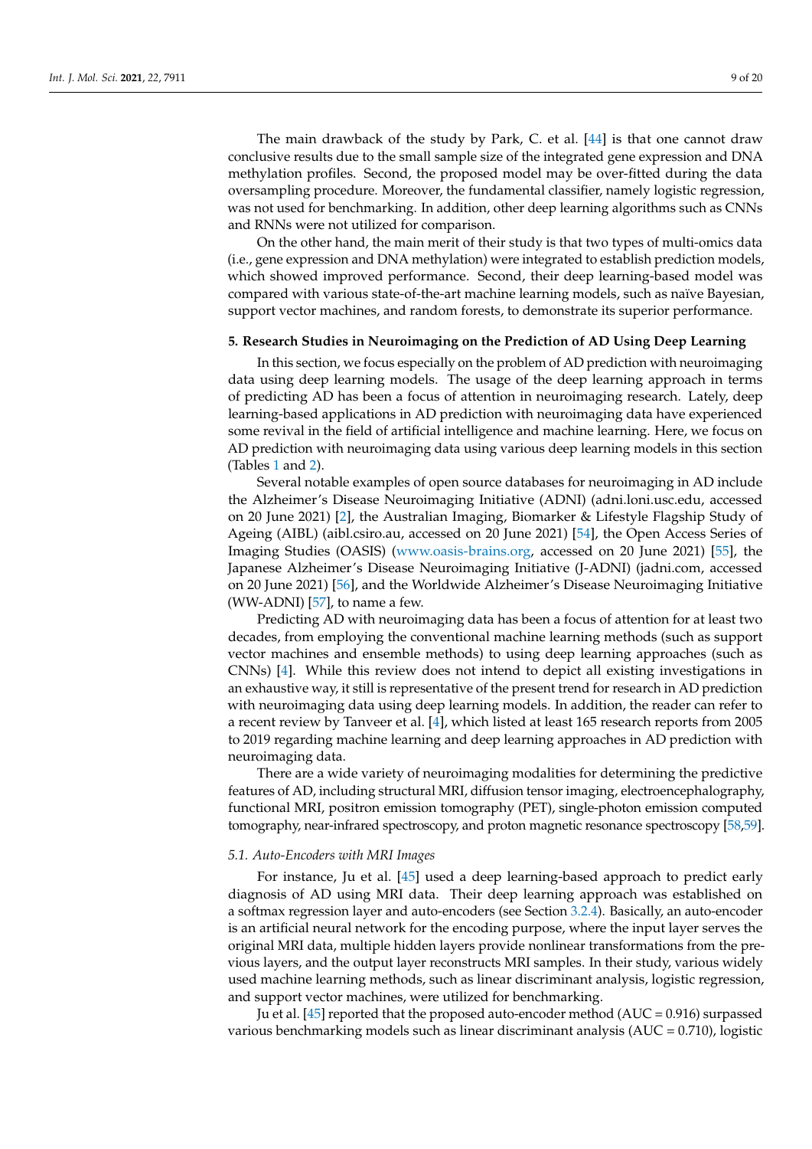The main drawback of the study by Park, C. et al. [\[44\]](#page-17-17) is that one cannot draw conclusive results due to the small sample size of the integrated gene expression and DNA methylation profiles. Second, the proposed model may be over-fitted during the data oversampling procedure. Moreover, the fundamental classifier, namely logistic regression, was not used for benchmarking. In addition, other deep learning algorithms such as CNNs and RNNs were not utilized for comparison.

On the other hand, the main merit of their study is that two types of multi-omics data (i.e., gene expression and DNA methylation) were integrated to establish prediction models, which showed improved performance. Second, their deep learning-based model was compared with various state-of-the-art machine learning models, such as naïve Bayesian, support vector machines, and random forests, to demonstrate its superior performance.

# <span id="page-8-0"></span>**5. Research Studies in Neuroimaging on the Prediction of AD Using Deep Learning**

In this section, we focus especially on the problem of AD prediction with neuroimaging data using deep learning models. The usage of the deep learning approach in terms of predicting AD has been a focus of attention in neuroimaging research. Lately, deep learning-based applications in AD prediction with neuroimaging data have experienced some revival in the field of artificial intelligence and machine learning. Here, we focus on AD prediction with neuroimaging data using various deep learning models in this section (Tables [1](#page-4-0) and [2\)](#page-5-0).

Several notable examples of open source databases for neuroimaging in AD include the Alzheimer's Disease Neuroimaging Initiative (ADNI) (adni.loni.usc.edu, accessed on 20 June 2021) [\[2\]](#page-16-1), the Australian Imaging, Biomarker & Lifestyle Flagship Study of Ageing (AIBL) (aibl.csiro.au, accessed on 20 June 2021) [\[54\]](#page-17-27), the Open Access Series of Imaging Studies (OASIS) [\(www.oasis-brains.org,](www.oasis-brains.org) accessed on 20 June 2021) [\[55\]](#page-17-28), the Japanese Alzheimer's Disease Neuroimaging Initiative (J-ADNI) (jadni.com, accessed on 20 June 2021) [\[56\]](#page-18-0), and the Worldwide Alzheimer's Disease Neuroimaging Initiative (WW-ADNI) [\[57\]](#page-18-1), to name a few.

Predicting AD with neuroimaging data has been a focus of attention for at least two decades, from employing the conventional machine learning methods (such as support vector machines and ensemble methods) to using deep learning approaches (such as CNNs) [\[4\]](#page-16-3). While this review does not intend to depict all existing investigations in an exhaustive way, it still is representative of the present trend for research in AD prediction with neuroimaging data using deep learning models. In addition, the reader can refer to a recent review by Tanveer et al. [\[4\]](#page-16-3), which listed at least 165 research reports from 2005 to 2019 regarding machine learning and deep learning approaches in AD prediction with neuroimaging data.

There are a wide variety of neuroimaging modalities for determining the predictive features of AD, including structural MRI, diffusion tensor imaging, electroencephalography, functional MRI, positron emission tomography (PET), single-photon emission computed tomography, near-infrared spectroscopy, and proton magnetic resonance spectroscopy [\[58,](#page-18-2)[59\]](#page-18-3).

# *5.1. Auto-Encoders with MRI Images*

For instance, Ju et al. [\[45\]](#page-17-18) used a deep learning-based approach to predict early diagnosis of AD using MRI data. Their deep learning approach was established on a softmax regression layer and auto-encoders (see Section [3.2.4\)](#page-3-0). Basically, an auto-encoder is an artificial neural network for the encoding purpose, where the input layer serves the original MRI data, multiple hidden layers provide nonlinear transformations from the previous layers, and the output layer reconstructs MRI samples. In their study, various widely used machine learning methods, such as linear discriminant analysis, logistic regression, and support vector machines, were utilized for benchmarking.

Ju et al. [\[45\]](#page-17-18) reported that the proposed auto-encoder method ( $AUC = 0.916$ ) surpassed various benchmarking models such as linear discriminant analysis (AUC = 0.710), logistic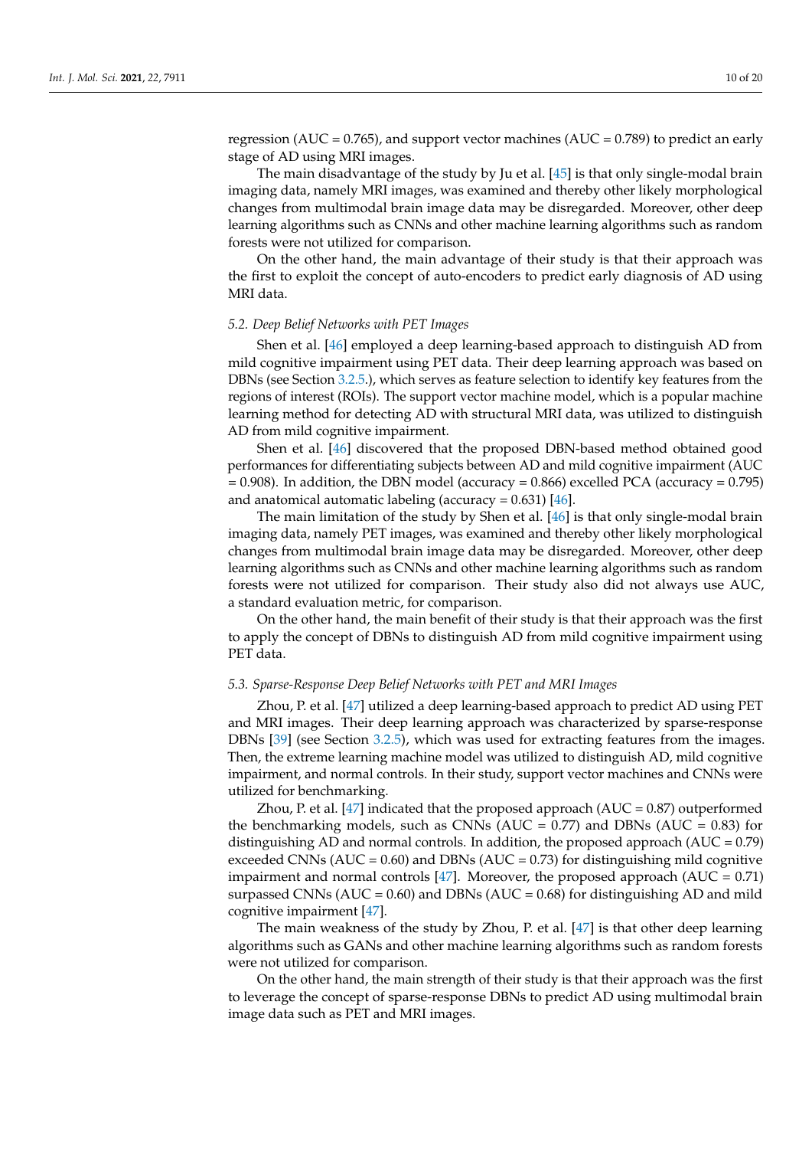regression (AUC =  $0.765$ ), and support vector machines (AUC =  $0.789$ ) to predict an early stage of AD using MRI images.

The main disadvantage of the study by Ju et al. [\[45\]](#page-17-18) is that only single-modal brain imaging data, namely MRI images, was examined and thereby other likely morphological changes from multimodal brain image data may be disregarded. Moreover, other deep learning algorithms such as CNNs and other machine learning algorithms such as random forests were not utilized for comparison.

On the other hand, the main advantage of their study is that their approach was the first to exploit the concept of auto-encoders to predict early diagnosis of AD using MRI data.

#### *5.2. Deep Belief Networks with PET Images*

Shen et al. [\[46\]](#page-17-19) employed a deep learning-based approach to distinguish AD from mild cognitive impairment using PET data. Their deep learning approach was based on DBNs (see Section [3.2.5.](#page-3-2)), which serves as feature selection to identify key features from the regions of interest (ROIs). The support vector machine model, which is a popular machine learning method for detecting AD with structural MRI data, was utilized to distinguish AD from mild cognitive impairment.

Shen et al. [\[46\]](#page-17-19) discovered that the proposed DBN-based method obtained good performances for differentiating subjects between AD and mild cognitive impairment (AUC  $= 0.908$ ). In addition, the DBN model (accuracy  $= 0.866$ ) excelled PCA (accuracy  $= 0.795$ ) and anatomical automatic labeling (accuracy =  $0.631$ ) [\[46\]](#page-17-19).

The main limitation of the study by Shen et al. [\[46\]](#page-17-19) is that only single-modal brain imaging data, namely PET images, was examined and thereby other likely morphological changes from multimodal brain image data may be disregarded. Moreover, other deep learning algorithms such as CNNs and other machine learning algorithms such as random forests were not utilized for comparison. Their study also did not always use AUC, a standard evaluation metric, for comparison.

On the other hand, the main benefit of their study is that their approach was the first to apply the concept of DBNs to distinguish AD from mild cognitive impairment using PET data.

#### *5.3. Sparse-Response Deep Belief Networks with PET and MRI Images*

Zhou, P. et al. [\[47\]](#page-17-20) utilized a deep learning-based approach to predict AD using PET and MRI images. Their deep learning approach was characterized by sparse-response DBNs [\[39\]](#page-17-12) (see Section [3.2.5\)](#page-3-2), which was used for extracting features from the images. Then, the extreme learning machine model was utilized to distinguish AD, mild cognitive impairment, and normal controls. In their study, support vector machines and CNNs were utilized for benchmarking.

Zhou, P. et al. [\[47\]](#page-17-20) indicated that the proposed approach ( $AUC = 0.87$ ) outperformed the benchmarking models, such as CNNs ( $AUC = 0.77$ ) and DBNs ( $AUC = 0.83$ ) for distinguishing AD and normal controls. In addition, the proposed approach  $(AUC = 0.79)$ exceeded CNNs ( $AUC = 0.60$ ) and DBNs ( $AUC = 0.73$ ) for distinguishing mild cognitive impairment and normal controls [\[47\]](#page-17-20). Moreover, the proposed approach  $(AUC = 0.71)$ surpassed CNNs ( $AUC = 0.60$ ) and DBNs ( $AUC = 0.68$ ) for distinguishing AD and mild cognitive impairment [\[47\]](#page-17-20).

The main weakness of the study by Zhou, P. et al. [\[47\]](#page-17-20) is that other deep learning algorithms such as GANs and other machine learning algorithms such as random forests were not utilized for comparison.

On the other hand, the main strength of their study is that their approach was the first to leverage the concept of sparse-response DBNs to predict AD using multimodal brain image data such as PET and MRI images.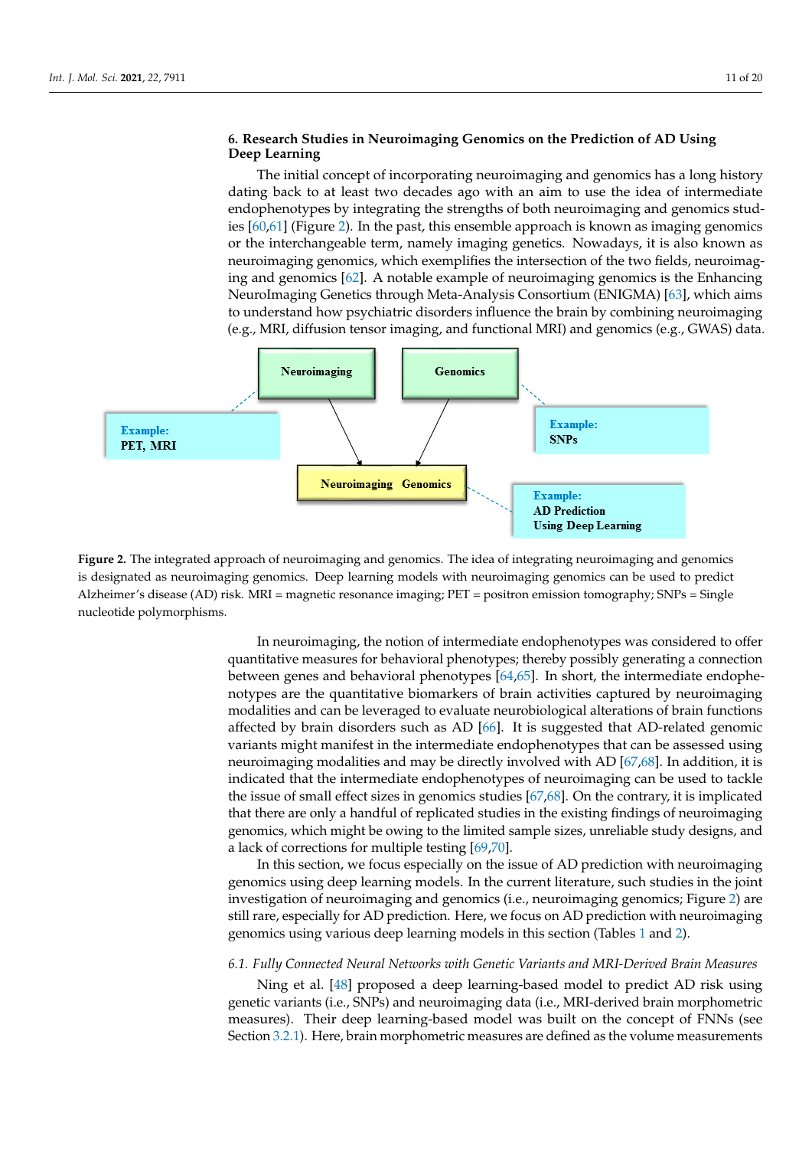**Learning** 

# <span id="page-10-1"></span>6. Research Studies in Neuroimaging Genomics on the Prediction of AD Using **Deep Learning the strengths of both neuroimaging and genomics strengths of both neuroimaging and genomics studies**

The initial concept of incorporating neuroimaging and genomics has a long history dating back to at least two decades ago with an aim to use the idea of intermediate endophenotypes by integrating the strengths of both neuroimaging and genomics studies  $[60,61]$  (Figure 2). In the past, this ensemble approach is k[no](#page-18-5)wn as imaging genomics or the interchangeable term, namely imaging genetics. Nowadays, it is also known as neuroimaging genomics, which exemplifies the intersection of the two fields, neuroimaging and genomics [62]. A notable example of neuroimaging genomics is the Enhancing NeuroImaging Genetics through Meta-Analysis Consortium (ENIGMA) [\[63\]](#page-18-7), which aims data. to understand how psychiatric disorders influence the brain by combining neuroimaging (e.g., MRI, diffusion tensor imaging, and functional MRI) and genomics (e.g., GWAS) data.

<span id="page-10-0"></span>

is designated as neuroimaging genomics. Deep learning models with neuroimaging genomics can be used to predict Alzheimer's disease (AD) risk. MRI = magnetic resonance imaging; PET = positron emission tomography; SNPs = Single nucleotide polymorphisms. The magnetic resonance in the positron emission of positron emission emission to magnetic resonance nucleother polymorphisms. **Figure 2.** The integrated approach of neuroimaging and genomics. The idea of integrating neuroimaging and genomics

In neuroimaging, the notion of intermediate endophenotypes was considered to offer quantitative measures for behavioral phenotypes; thereby possibly generating a connection between genes and behavioral phenotypes [\[64,](#page-18-8)[65\]](#page-18-9). In short, the intermediate endophenotypes are the quantitative biomarkers of brain activities captured by neuroimaging modalities and can be leveraged to evaluate neurobiological alterations of brain functions affected by brain disorders such as AD [\[66\]](#page-18-10). It is suggested that AD-related genomic variants might manifest in the intermediate endophenotypes that can be assessed using neuroimaging modalities and may be directly involved with AD [\[67,](#page-18-11)[68\]](#page-18-12). In addition, it is indicated that the intermediate endophenotypes of neuroimaging can be used to tackle the issue of small effect sizes in genomics studies [\[67,](#page-18-11)[68\]](#page-18-12). On the contrary, it is implicated that there are only a handful of replicated studies in the existing findings of neuroimaging genomics, which might be owing to the limited sample sizes, unreliable study designs, and a lack of corrections for multiple testing [\[69](#page-18-13)[,70\]](#page-18-14).

In this section, we focus especially on the issue of AD prediction with neuroimaging genomics using deep learning models. In the current literature, such studies in the joint investigation of neuroimaging and genomics (i.e., neuroimaging genomics; Figure [2\)](#page-10-0) are still rare, especially for AD prediction. Here, we focus on AD prediction with neuroimaging genomics using various deep learning models in this section (Tables [1](#page-4-0) and [2\)](#page-5-0).

# *6.1. Fully Connected Neural Networks with Genetic Variants and MRI-Derived Brain Measures*

Ning et al. [\[48\]](#page-17-21) proposed a deep learning-based model to predict AD risk using genetic variants (i.e., SNPs) and neuroimaging data (i.e., MRI-derived brain morphometric measures). Their deep learning-based model was built on the concept of FNNs (see Section [3.2.1\)](#page-2-1). Here, brain morphometric measures are defined as the volume measurements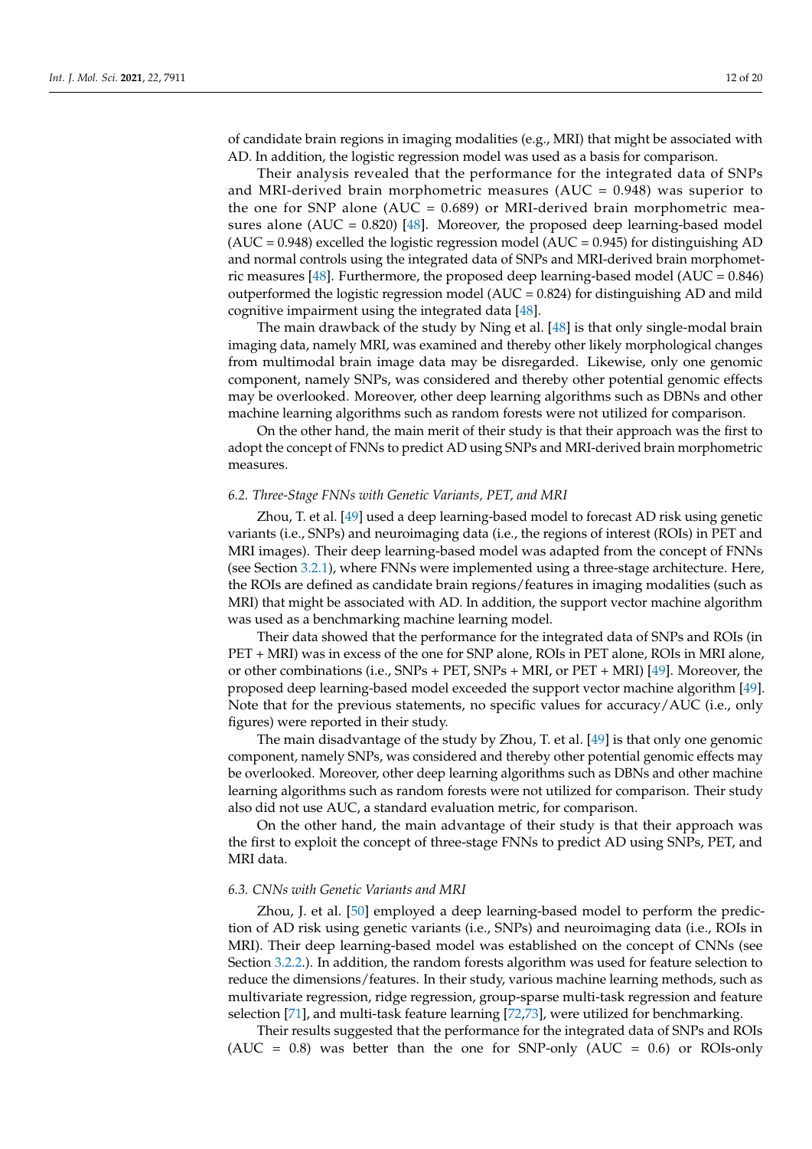of candidate brain regions in imaging modalities (e.g., MRI) that might be associated with AD. In addition, the logistic regression model was used as a basis for comparison.

Their analysis revealed that the performance for the integrated data of SNPs and MRI-derived brain morphometric measures (AUC =  $0.948$ ) was superior to the one for SNP alone (AUC = 0.689) or MRI-derived brain morphometric measures alone (AUC =  $0.820$ ) [\[48\]](#page-17-21). Moreover, the proposed deep learning-based model  $(AUC = 0.948)$  excelled the logistic regression model  $(AUC = 0.945)$  for distinguishing AD and normal controls using the integrated data of SNPs and MRI-derived brain morphometric measures [\[48\]](#page-17-21). Furthermore, the proposed deep learning-based model (AUC = 0.846) outperformed the logistic regression model ( $AUC = 0.824$ ) for distinguishing AD and mild cognitive impairment using the integrated data [\[48\]](#page-17-21).

The main drawback of the study by Ning et al. [\[48\]](#page-17-21) is that only single-modal brain imaging data, namely MRI, was examined and thereby other likely morphological changes from multimodal brain image data may be disregarded. Likewise, only one genomic component, namely SNPs, was considered and thereby other potential genomic effects may be overlooked. Moreover, other deep learning algorithms such as DBNs and other machine learning algorithms such as random forests were not utilized for comparison.

On the other hand, the main merit of their study is that their approach was the first to adopt the concept of FNNs to predict AD using SNPs and MRI-derived brain morphometric measures.

#### *6.2. Three-Stage FNNs with Genetic Variants, PET, and MRI*

Zhou, T. et al. [\[49\]](#page-17-22) used a deep learning-based model to forecast AD risk using genetic variants (i.e., SNPs) and neuroimaging data (i.e., the regions of interest (ROIs) in PET and MRI images). Their deep learning-based model was adapted from the concept of FNNs (see Section [3.2.1\)](#page-2-1), where FNNs were implemented using a three-stage architecture. Here, the ROIs are defined as candidate brain regions/features in imaging modalities (such as MRI) that might be associated with AD. In addition, the support vector machine algorithm was used as a benchmarking machine learning model.

Their data showed that the performance for the integrated data of SNPs and ROIs (in PET + MRI) was in excess of the one for SNP alone, ROIs in PET alone, ROIs in MRI alone, or other combinations (i.e., SNPs + PET, SNPs + MRI, or PET + MRI) [\[49\]](#page-17-22). Moreover, the proposed deep learning-based model exceeded the support vector machine algorithm [\[49\]](#page-17-22). Note that for the previous statements, no specific values for accuracy/AUC (i.e., only figures) were reported in their study.

The main disadvantage of the study by Zhou, T. et al. [\[49\]](#page-17-22) is that only one genomic component, namely SNPs, was considered and thereby other potential genomic effects may be overlooked. Moreover, other deep learning algorithms such as DBNs and other machine learning algorithms such as random forests were not utilized for comparison. Their study also did not use AUC, a standard evaluation metric, for comparison.

On the other hand, the main advantage of their study is that their approach was the first to exploit the concept of three-stage FNNs to predict AD using SNPs, PET, and MRI data.

# *6.3. CNNs with Genetic Variants and MRI*

Zhou, J. et al. [\[50\]](#page-17-23) employed a deep learning-based model to perform the prediction of AD risk using genetic variants (i.e., SNPs) and neuroimaging data (i.e., ROIs in MRI). Their deep learning-based model was established on the concept of CNNs (see Section [3.2.2.](#page-2-2)). In addition, the random forests algorithm was used for feature selection to reduce the dimensions/features. In their study, various machine learning methods, such as multivariate regression, ridge regression, group-sparse multi-task regression and feature selection [\[71\]](#page-18-15), and multi-task feature learning [\[72,](#page-18-16)[73\]](#page-18-17), were utilized for benchmarking.

Their results suggested that the performance for the integrated data of SNPs and ROIs (AUC =  $0.8$ ) was better than the one for SNP-only (AUC =  $0.6$ ) or ROIs-only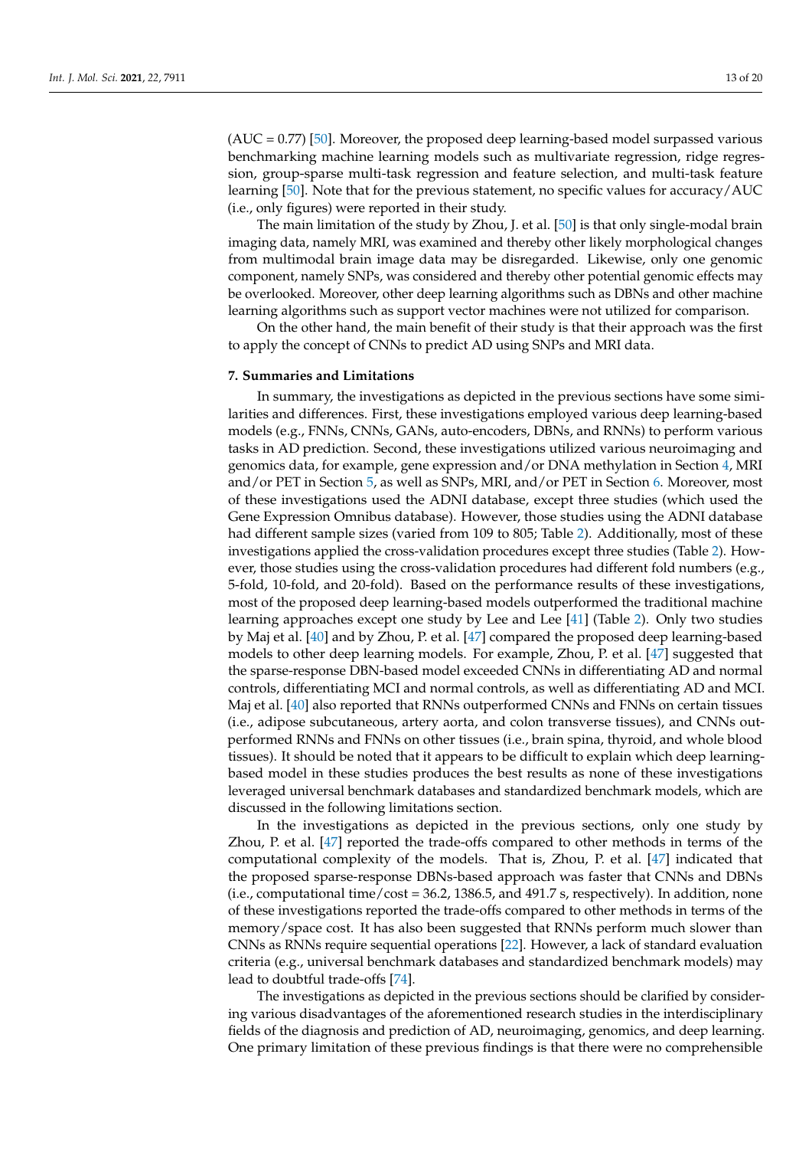$(AUC = 0.77)$  [\[50\]](#page-17-23). Moreover, the proposed deep learning-based model surpassed various benchmarking machine learning models such as multivariate regression, ridge regression, group-sparse multi-task regression and feature selection, and multi-task feature learning [\[50\]](#page-17-23). Note that for the previous statement, no specific values for accuracy/AUC (i.e., only figures) were reported in their study.

The main limitation of the study by Zhou, J. et al. [\[50\]](#page-17-23) is that only single-modal brain imaging data, namely MRI, was examined and thereby other likely morphological changes from multimodal brain image data may be disregarded. Likewise, only one genomic component, namely SNPs, was considered and thereby other potential genomic effects may be overlooked. Moreover, other deep learning algorithms such as DBNs and other machine learning algorithms such as support vector machines were not utilized for comparison.

On the other hand, the main benefit of their study is that their approach was the first to apply the concept of CNNs to predict AD using SNPs and MRI data.

#### **7. Summaries and Limitations**

In summary, the investigations as depicted in the previous sections have some similarities and differences. First, these investigations employed various deep learning-based models (e.g., FNNs, CNNs, GANs, auto-encoders, DBNs, and RNNs) to perform various tasks in AD prediction. Second, these investigations utilized various neuroimaging and genomics data, for example, gene expression and/or DNA methylation in Section [4,](#page-4-2) MRI and/or PET in Section [5,](#page-8-0) as well as SNPs, MRI, and/or PET in Section [6.](#page-10-1) Moreover, most of these investigations used the ADNI database, except three studies (which used the Gene Expression Omnibus database). However, those studies using the ADNI database had different sample sizes (varied from 109 to 805; Table [2\)](#page-5-0). Additionally, most of these investigations applied the cross-validation procedures except three studies (Table [2\)](#page-5-0). However, those studies using the cross-validation procedures had different fold numbers (e.g., 5-fold, 10-fold, and 20-fold). Based on the performance results of these investigations, most of the proposed deep learning-based models outperformed the traditional machine learning approaches except one study by Lee and Lee [\[41\]](#page-17-14) (Table [2\)](#page-5-0). Only two studies by Maj et al. [\[40\]](#page-17-13) and by Zhou, P. et al. [\[47\]](#page-17-20) compared the proposed deep learning-based models to other deep learning models. For example, Zhou, P. et al. [\[47\]](#page-17-20) suggested that the sparse-response DBN-based model exceeded CNNs in differentiating AD and normal controls, differentiating MCI and normal controls, as well as differentiating AD and MCI. Maj et al. [\[40\]](#page-17-13) also reported that RNNs outperformed CNNs and FNNs on certain tissues (i.e., adipose subcutaneous, artery aorta, and colon transverse tissues), and CNNs outperformed RNNs and FNNs on other tissues (i.e., brain spina, thyroid, and whole blood tissues). It should be noted that it appears to be difficult to explain which deep learningbased model in these studies produces the best results as none of these investigations leveraged universal benchmark databases and standardized benchmark models, which are discussed in the following limitations section.

In the investigations as depicted in the previous sections, only one study by Zhou, P. et al. [\[47\]](#page-17-20) reported the trade-offs compared to other methods in terms of the computational complexity of the models. That is, Zhou, P. et al. [\[47\]](#page-17-20) indicated that the proposed sparse-response DBNs-based approach was faster that CNNs and DBNs (i.e., computational time/cost = 36.2, 1386.5, and 491.7 s, respectively). In addition, none of these investigations reported the trade-offs compared to other methods in terms of the memory/space cost. It has also been suggested that RNNs perform much slower than CNNs as RNNs require sequential operations [\[22\]](#page-16-20). However, a lack of standard evaluation criteria (e.g., universal benchmark databases and standardized benchmark models) may lead to doubtful trade-offs [\[74\]](#page-18-18).

The investigations as depicted in the previous sections should be clarified by considering various disadvantages of the aforementioned research studies in the interdisciplinary fields of the diagnosis and prediction of AD, neuroimaging, genomics, and deep learning. One primary limitation of these previous findings is that there were no comprehensible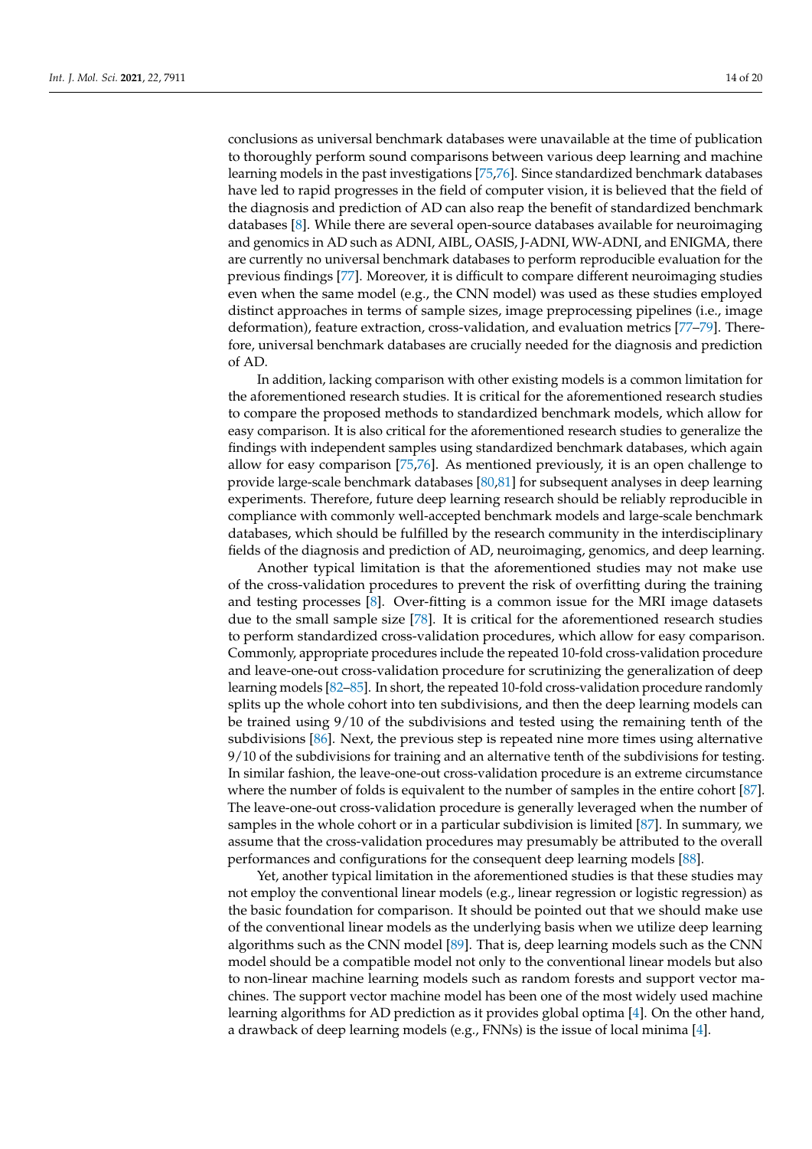conclusions as universal benchmark databases were unavailable at the time of publication to thoroughly perform sound comparisons between various deep learning and machine learning models in the past investigations [\[75,](#page-18-19)[76\]](#page-18-20). Since standardized benchmark databases have led to rapid progresses in the field of computer vision, it is believed that the field of the diagnosis and prediction of AD can also reap the benefit of standardized benchmark databases [\[8\]](#page-16-22). While there are several open-source databases available for neuroimaging and genomics in AD such as ADNI, AIBL, OASIS, J-ADNI, WW-ADNI, and ENIGMA, there are currently no universal benchmark databases to perform reproducible evaluation for the previous findings [\[77\]](#page-18-21). Moreover, it is difficult to compare different neuroimaging studies even when the same model (e.g., the CNN model) was used as these studies employed distinct approaches in terms of sample sizes, image preprocessing pipelines (i.e., image deformation), feature extraction, cross-validation, and evaluation metrics [\[77](#page-18-21)[–79\]](#page-18-22). Therefore, universal benchmark databases are crucially needed for the diagnosis and prediction of AD.

In addition, lacking comparison with other existing models is a common limitation for the aforementioned research studies. It is critical for the aforementioned research studies to compare the proposed methods to standardized benchmark models, which allow for easy comparison. It is also critical for the aforementioned research studies to generalize the findings with independent samples using standardized benchmark databases, which again allow for easy comparison [\[75](#page-18-19)[,76\]](#page-18-20). As mentioned previously, it is an open challenge to provide large-scale benchmark databases [\[80,](#page-18-23)[81\]](#page-19-0) for subsequent analyses in deep learning experiments. Therefore, future deep learning research should be reliably reproducible in compliance with commonly well-accepted benchmark models and large-scale benchmark databases, which should be fulfilled by the research community in the interdisciplinary fields of the diagnosis and prediction of AD, neuroimaging, genomics, and deep learning.

Another typical limitation is that the aforementioned studies may not make use of the cross-validation procedures to prevent the risk of overfitting during the training and testing processes [\[8\]](#page-16-22). Over-fitting is a common issue for the MRI image datasets due to the small sample size [\[78\]](#page-18-24). It is critical for the aforementioned research studies to perform standardized cross-validation procedures, which allow for easy comparison. Commonly, appropriate procedures include the repeated 10-fold cross-validation procedure and leave-one-out cross-validation procedure for scrutinizing the generalization of deep learning models [\[82–](#page-19-1)[85\]](#page-19-2). In short, the repeated 10-fold cross-validation procedure randomly splits up the whole cohort into ten subdivisions, and then the deep learning models can be trained using 9/10 of the subdivisions and tested using the remaining tenth of the subdivisions [\[86\]](#page-19-3). Next, the previous step is repeated nine more times using alternative 9/10 of the subdivisions for training and an alternative tenth of the subdivisions for testing. In similar fashion, the leave-one-out cross-validation procedure is an extreme circumstance where the number of folds is equivalent to the number of samples in the entire cohort [\[87\]](#page-19-4). The leave-one-out cross-validation procedure is generally leveraged when the number of samples in the whole cohort or in a particular subdivision is limited [\[87\]](#page-19-4). In summary, we assume that the cross-validation procedures may presumably be attributed to the overall performances and configurations for the consequent deep learning models [\[88\]](#page-19-5).

Yet, another typical limitation in the aforementioned studies is that these studies may not employ the conventional linear models (e.g., linear regression or logistic regression) as the basic foundation for comparison. It should be pointed out that we should make use of the conventional linear models as the underlying basis when we utilize deep learning algorithms such as the CNN model [\[89\]](#page-19-6). That is, deep learning models such as the CNN model should be a compatible model not only to the conventional linear models but also to non-linear machine learning models such as random forests and support vector machines. The support vector machine model has been one of the most widely used machine learning algorithms for AD prediction as it provides global optima [\[4\]](#page-16-3). On the other hand, a drawback of deep learning models (e.g., FNNs) is the issue of local minima [\[4\]](#page-16-3).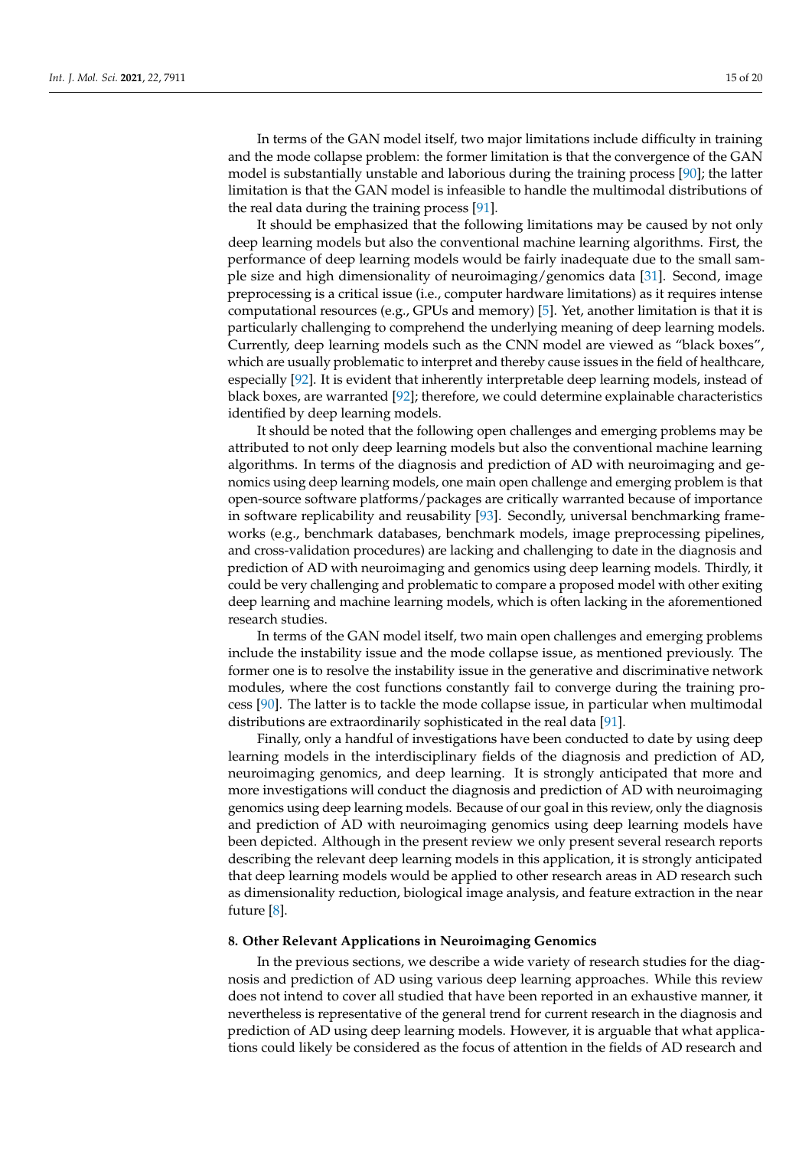In terms of the GAN model itself, two major limitations include difficulty in training and the mode collapse problem: the former limitation is that the convergence of the GAN model is substantially unstable and laborious during the training process [\[90\]](#page-19-7); the latter limitation is that the GAN model is infeasible to handle the multimodal distributions of the real data during the training process [\[91\]](#page-19-8).

It should be emphasized that the following limitations may be caused by not only deep learning models but also the conventional machine learning algorithms. First, the performance of deep learning models would be fairly inadequate due to the small sample size and high dimensionality of neuroimaging/genomics data [\[31\]](#page-17-4). Second, image preprocessing is a critical issue (i.e., computer hardware limitations) as it requires intense computational resources (e.g., GPUs and memory) [\[5\]](#page-16-4). Yet, another limitation is that it is particularly challenging to comprehend the underlying meaning of deep learning models. Currently, deep learning models such as the CNN model are viewed as "black boxes", which are usually problematic to interpret and thereby cause issues in the field of healthcare, especially [\[92\]](#page-19-9). It is evident that inherently interpretable deep learning models, instead of black boxes, are warranted [\[92\]](#page-19-9); therefore, we could determine explainable characteristics identified by deep learning models.

It should be noted that the following open challenges and emerging problems may be attributed to not only deep learning models but also the conventional machine learning algorithms. In terms of the diagnosis and prediction of AD with neuroimaging and genomics using deep learning models, one main open challenge and emerging problem is that open-source software platforms/packages are critically warranted because of importance in software replicability and reusability [\[93\]](#page-19-10). Secondly, universal benchmarking frameworks (e.g., benchmark databases, benchmark models, image preprocessing pipelines, and cross-validation procedures) are lacking and challenging to date in the diagnosis and prediction of AD with neuroimaging and genomics using deep learning models. Thirdly, it could be very challenging and problematic to compare a proposed model with other exiting deep learning and machine learning models, which is often lacking in the aforementioned research studies.

In terms of the GAN model itself, two main open challenges and emerging problems include the instability issue and the mode collapse issue, as mentioned previously. The former one is to resolve the instability issue in the generative and discriminative network modules, where the cost functions constantly fail to converge during the training process [\[90\]](#page-19-7). The latter is to tackle the mode collapse issue, in particular when multimodal distributions are extraordinarily sophisticated in the real data [\[91\]](#page-19-8).

Finally, only a handful of investigations have been conducted to date by using deep learning models in the interdisciplinary fields of the diagnosis and prediction of AD, neuroimaging genomics, and deep learning. It is strongly anticipated that more and more investigations will conduct the diagnosis and prediction of AD with neuroimaging genomics using deep learning models. Because of our goal in this review, only the diagnosis and prediction of AD with neuroimaging genomics using deep learning models have been depicted. Although in the present review we only present several research reports describing the relevant deep learning models in this application, it is strongly anticipated that deep learning models would be applied to other research areas in AD research such as dimensionality reduction, biological image analysis, and feature extraction in the near future [\[8\]](#page-16-22).

### **8. Other Relevant Applications in Neuroimaging Genomics**

In the previous sections, we describe a wide variety of research studies for the diagnosis and prediction of AD using various deep learning approaches. While this review does not intend to cover all studied that have been reported in an exhaustive manner, it nevertheless is representative of the general trend for current research in the diagnosis and prediction of AD using deep learning models. However, it is arguable that what applications could likely be considered as the focus of attention in the fields of AD research and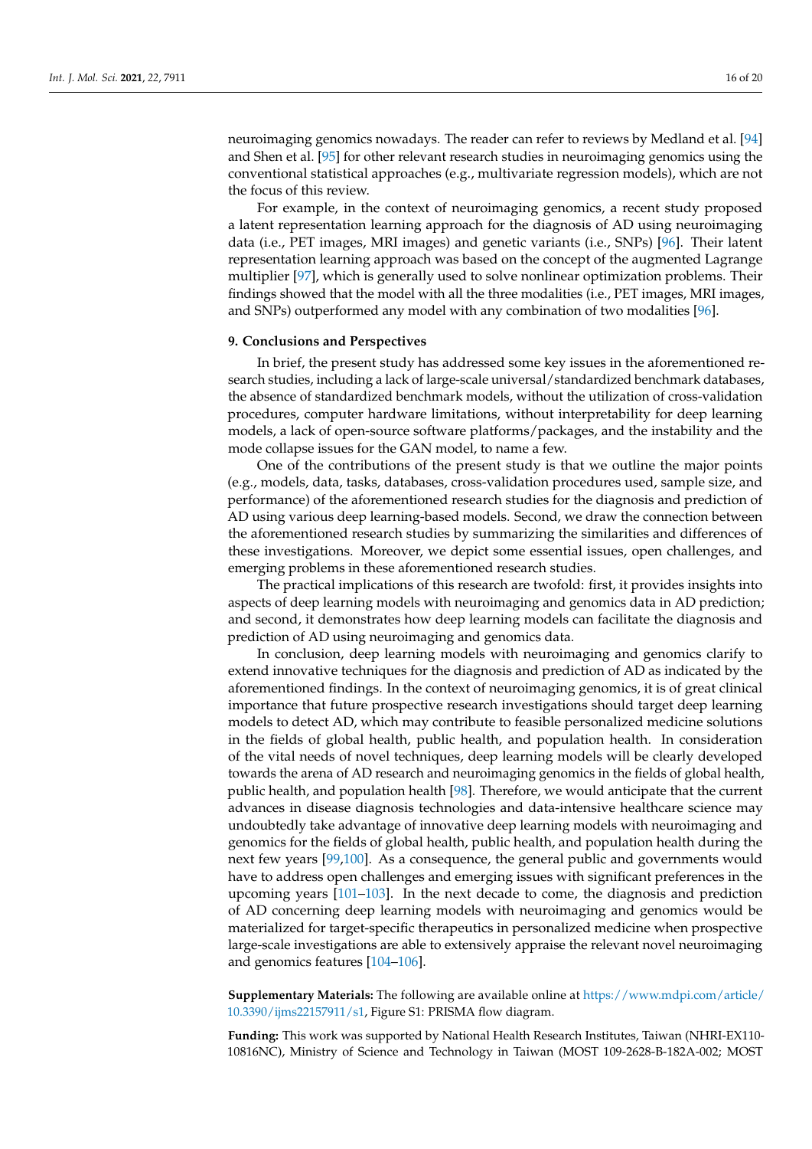neuroimaging genomics nowadays. The reader can refer to reviews by Medland et al. [\[94\]](#page-19-11) and Shen et al. [\[95\]](#page-19-12) for other relevant research studies in neuroimaging genomics using the conventional statistical approaches (e.g., multivariate regression models), which are not the focus of this review.

For example, in the context of neuroimaging genomics, a recent study proposed a latent representation learning approach for the diagnosis of AD using neuroimaging data (i.e., PET images, MRI images) and genetic variants (i.e., SNPs) [\[96\]](#page-19-13). Their latent representation learning approach was based on the concept of the augmented Lagrange multiplier [\[97\]](#page-19-14), which is generally used to solve nonlinear optimization problems. Their findings showed that the model with all the three modalities (i.e., PET images, MRI images, and SNPs) outperformed any model with any combination of two modalities [\[96\]](#page-19-13).

#### **9. Conclusions and Perspectives**

In brief, the present study has addressed some key issues in the aforementioned research studies, including a lack of large-scale universal/standardized benchmark databases, the absence of standardized benchmark models, without the utilization of cross-validation procedures, computer hardware limitations, without interpretability for deep learning models, a lack of open-source software platforms/packages, and the instability and the mode collapse issues for the GAN model, to name a few.

One of the contributions of the present study is that we outline the major points (e.g., models, data, tasks, databases, cross-validation procedures used, sample size, and performance) of the aforementioned research studies for the diagnosis and prediction of AD using various deep learning-based models. Second, we draw the connection between the aforementioned research studies by summarizing the similarities and differences of these investigations. Moreover, we depict some essential issues, open challenges, and emerging problems in these aforementioned research studies.

The practical implications of this research are twofold: first, it provides insights into aspects of deep learning models with neuroimaging and genomics data in AD prediction; and second, it demonstrates how deep learning models can facilitate the diagnosis and prediction of AD using neuroimaging and genomics data.

In conclusion, deep learning models with neuroimaging and genomics clarify to extend innovative techniques for the diagnosis and prediction of AD as indicated by the aforementioned findings. In the context of neuroimaging genomics, it is of great clinical importance that future prospective research investigations should target deep learning models to detect AD, which may contribute to feasible personalized medicine solutions in the fields of global health, public health, and population health. In consideration of the vital needs of novel techniques, deep learning models will be clearly developed towards the arena of AD research and neuroimaging genomics in the fields of global health, public health, and population health [\[98\]](#page-19-15). Therefore, we would anticipate that the current advances in disease diagnosis technologies and data-intensive healthcare science may undoubtedly take advantage of innovative deep learning models with neuroimaging and genomics for the fields of global health, public health, and population health during the next few years [\[99](#page-19-16)[,100\]](#page-19-17). As a consequence, the general public and governments would have to address open challenges and emerging issues with significant preferences in the upcoming years [\[101–](#page-19-18)[103\]](#page-19-19). In the next decade to come, the diagnosis and prediction of AD concerning deep learning models with neuroimaging and genomics would be materialized for target-specific therapeutics in personalized medicine when prospective large-scale investigations are able to extensively appraise the relevant novel neuroimaging and genomics features [\[104–](#page-19-20)[106\]](#page-19-21).

**Supplementary Materials:** The following are available online at [https://www.mdpi.com/article/](https://www.mdpi.com/article/10.3390/ijms22157911/s1) [10.3390/ijms22157911/s1,](https://www.mdpi.com/article/10.3390/ijms22157911/s1) Figure S1: PRISMA flow diagram.

**Funding:** This work was supported by National Health Research Institutes, Taiwan (NHRI-EX110- 10816NC), Ministry of Science and Technology in Taiwan (MOST 109-2628-B-182A-002; MOST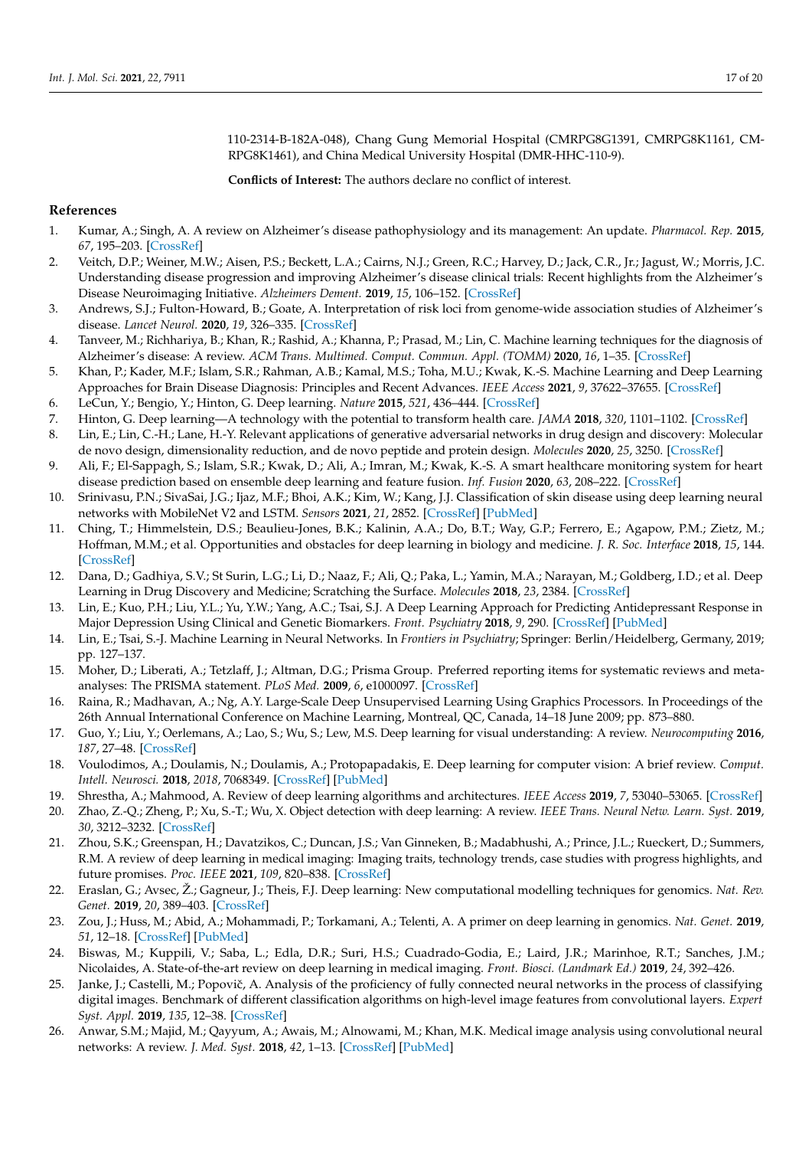110-2314-B-182A-048), Chang Gung Memorial Hospital (CMRPG8G1391, CMRPG8K1161, CM-RPG8K1461), and China Medical University Hospital (DMR-HHC-110-9).

**Conflicts of Interest:** The authors declare no conflict of interest.

# **References**

- <span id="page-16-0"></span>1. Kumar, A.; Singh, A. A review on Alzheimer's disease pathophysiology and its management: An update. *Pharmacol. Rep.* **2015**, *67*, 195–203. [\[CrossRef\]](http://doi.org/10.1016/j.pharep.2014.09.004)
- <span id="page-16-1"></span>2. Veitch, D.P.; Weiner, M.W.; Aisen, P.S.; Beckett, L.A.; Cairns, N.J.; Green, R.C.; Harvey, D.; Jack, C.R., Jr.; Jagust, W.; Morris, J.C. Understanding disease progression and improving Alzheimer's disease clinical trials: Recent highlights from the Alzheimer's Disease Neuroimaging Initiative. *Alzheimers Dement.* **2019**, *15*, 106–152. [\[CrossRef\]](http://doi.org/10.1016/j.jalz.2018.08.005)
- <span id="page-16-2"></span>3. Andrews, S.J.; Fulton-Howard, B.; Goate, A. Interpretation of risk loci from genome-wide association studies of Alzheimer's disease. *Lancet Neurol.* **2020**, *19*, 326–335. [\[CrossRef\]](http://doi.org/10.1016/S1474-4422(19)30435-1)
- <span id="page-16-3"></span>4. Tanveer, M.; Richhariya, B.; Khan, R.; Rashid, A.; Khanna, P.; Prasad, M.; Lin, C. Machine learning techniques for the diagnosis of Alzheimer's disease: A review. *ACM Trans. Multimed. Comput. Commun. Appl. (TOMM)* **2020**, *16*, 1–35. [\[CrossRef\]](http://doi.org/10.1145/3344998)
- <span id="page-16-4"></span>5. Khan, P.; Kader, M.F.; Islam, S.R.; Rahman, A.B.; Kamal, M.S.; Toha, M.U.; Kwak, K.-S. Machine Learning and Deep Learning Approaches for Brain Disease Diagnosis: Principles and Recent Advances. *IEEE Access* **2021**, *9*, 37622–37655. [\[CrossRef\]](http://doi.org/10.1109/ACCESS.2021.3062484)
- <span id="page-16-5"></span>6. LeCun, Y.; Bengio, Y.; Hinton, G. Deep learning. *Nature* **2015**, *521*, 436–444. [\[CrossRef\]](http://doi.org/10.1038/nature14539)
- 7. Hinton, G. Deep learning—A technology with the potential to transform health care. *JAMA* **2018**, *320*, 1101–1102. [\[CrossRef\]](http://doi.org/10.1001/jama.2018.11100)
- <span id="page-16-22"></span>8. Lin, E.; Lin, C.-H.; Lane, H.-Y. Relevant applications of generative adversarial networks in drug design and discovery: Molecular de novo design, dimensionality reduction, and de novo peptide and protein design. *Molecules* **2020**, *25*, 3250. [\[CrossRef\]](http://doi.org/10.3390/molecules25143250)
- 9. Ali, F.; El-Sappagh, S.; Islam, S.R.; Kwak, D.; Ali, A.; Imran, M.; Kwak, K.-S. A smart healthcare monitoring system for heart disease prediction based on ensemble deep learning and feature fusion. *Inf. Fusion* **2020**, *63*, 208–222. [\[CrossRef\]](http://doi.org/10.1016/j.inffus.2020.06.008)
- <span id="page-16-6"></span>10. Srinivasu, P.N.; SivaSai, J.G.; Ijaz, M.F.; Bhoi, A.K.; Kim, W.; Kang, J.J. Classification of skin disease using deep learning neural networks with MobileNet V2 and LSTM. *Sensors* **2021**, *21*, 2852. [\[CrossRef\]](http://doi.org/10.3390/s21082852) [\[PubMed\]](http://www.ncbi.nlm.nih.gov/pubmed/33919583)
- <span id="page-16-7"></span>11. Ching, T.; Himmelstein, D.S.; Beaulieu-Jones, B.K.; Kalinin, A.A.; Do, B.T.; Way, G.P.; Ferrero, E.; Agapow, P.M.; Zietz, M.; Hoffman, M.M.; et al. Opportunities and obstacles for deep learning in biology and medicine. *J. R. Soc. Interface* **2018**, *15*, 144. [\[CrossRef\]](http://doi.org/10.1098/rsif.2017.0387)
- 12. Dana, D.; Gadhiya, S.V.; St Surin, L.G.; Li, D.; Naaz, F.; Ali, Q.; Paka, L.; Yamin, M.A.; Narayan, M.; Goldberg, I.D.; et al. Deep Learning in Drug Discovery and Medicine; Scratching the Surface. *Molecules* **2018**, *23*, 2384. [\[CrossRef\]](http://doi.org/10.3390/molecules23092384)
- <span id="page-16-8"></span>13. Lin, E.; Kuo, P.H.; Liu, Y.L.; Yu, Y.W.; Yang, A.C.; Tsai, S.J. A Deep Learning Approach for Predicting Antidepressant Response in Major Depression Using Clinical and Genetic Biomarkers. *Front. Psychiatry* **2018**, *9*, 290. [\[CrossRef\]](http://doi.org/10.3389/fpsyt.2018.00290) [\[PubMed\]](http://www.ncbi.nlm.nih.gov/pubmed/30034349)
- <span id="page-16-9"></span>14. Lin, E.; Tsai, S.-J. Machine Learning in Neural Networks. In *Frontiers in Psychiatry*; Springer: Berlin/Heidelberg, Germany, 2019; pp. 127–137.
- <span id="page-16-10"></span>15. Moher, D.; Liberati, A.; Tetzlaff, J.; Altman, D.G.; Prisma Group. Preferred reporting items for systematic reviews and metaanalyses: The PRISMA statement. *PLoS Med.* **2009**, *6*, e1000097. [\[CrossRef\]](http://doi.org/10.1371/journal.pmed.1000097)
- <span id="page-16-11"></span>16. Raina, R.; Madhavan, A.; Ng, A.Y. Large-Scale Deep Unsupervised Learning Using Graphics Processors. In Proceedings of the 26th Annual International Conference on Machine Learning, Montreal, QC, Canada, 14–18 June 2009; pp. 873–880.
- <span id="page-16-12"></span>17. Guo, Y.; Liu, Y.; Oerlemans, A.; Lao, S.; Wu, S.; Lew, M.S. Deep learning for visual understanding: A review. *Neurocomputing* **2016**, *187*, 27–48. [\[CrossRef\]](http://doi.org/10.1016/j.neucom.2015.09.116)
- <span id="page-16-13"></span>18. Voulodimos, A.; Doulamis, N.; Doulamis, A.; Protopapadakis, E. Deep learning for computer vision: A brief review. *Comput. Intell. Neurosci.* **2018**, *2018*, 7068349. [\[CrossRef\]](http://doi.org/10.1155/2018/7068349) [\[PubMed\]](http://www.ncbi.nlm.nih.gov/pubmed/29487619)
- <span id="page-16-17"></span>19. Shrestha, A.; Mahmood, A. Review of deep learning algorithms and architectures. *IEEE Access* **2019**, *7*, 53040–53065. [\[CrossRef\]](http://doi.org/10.1109/ACCESS.2019.2912200)
- <span id="page-16-14"></span>20. Zhao, Z.-Q.; Zheng, P.; Xu, S.-T.; Wu, X. Object detection with deep learning: A review. *IEEE Trans. Neural Netw. Learn. Syst.* **2019**, *30*, 3212–3232. [\[CrossRef\]](http://doi.org/10.1109/TNNLS.2018.2876865)
- <span id="page-16-15"></span>21. Zhou, S.K.; Greenspan, H.; Davatzikos, C.; Duncan, J.S.; Van Ginneken, B.; Madabhushi, A.; Prince, J.L.; Rueckert, D.; Summers, R.M. A review of deep learning in medical imaging: Imaging traits, technology trends, case studies with progress highlights, and future promises. *Proc. IEEE* **2021**, *109*, 820–838. [\[CrossRef\]](http://doi.org/10.1109/JPROC.2021.3054390)
- <span id="page-16-20"></span>22. Eraslan, G.; Avsec, Ž.; Gagneur, J.; Theis, F.J. Deep learning: New computational modelling techniques for genomics. *Nat. Rev. Genet.* **2019**, *20*, 389–403. [\[CrossRef\]](http://doi.org/10.1038/s41576-019-0122-6)
- <span id="page-16-21"></span>23. Zou, J.; Huss, M.; Abid, A.; Mohammadi, P.; Torkamani, A.; Telenti, A. A primer on deep learning in genomics. *Nat. Genet.* **2019**, *51*, 12–18. [\[CrossRef\]](http://doi.org/10.1038/s41588-018-0295-5) [\[PubMed\]](http://www.ncbi.nlm.nih.gov/pubmed/30478442)
- <span id="page-16-16"></span>24. Biswas, M.; Kuppili, V.; Saba, L.; Edla, D.R.; Suri, H.S.; Cuadrado-Godia, E.; Laird, J.R.; Marinhoe, R.T.; Sanches, J.M.; Nicolaides, A. State-of-the-art review on deep learning in medical imaging. *Front. Biosci. (Landmark Ed.)* **2019**, *24*, 392–426.
- <span id="page-16-18"></span>25. Janke, J.; Castelli, M.; Popovič, A. Analysis of the proficiency of fully connected neural networks in the process of classifying digital images. Benchmark of different classification algorithms on high-level image features from convolutional layers. *Expert Syst. Appl.* **2019**, *135*, 12–38. [\[CrossRef\]](http://doi.org/10.1016/j.eswa.2019.05.058)
- <span id="page-16-19"></span>26. Anwar, S.M.; Majid, M.; Qayyum, A.; Awais, M.; Alnowami, M.; Khan, M.K. Medical image analysis using convolutional neural networks: A review. *J. Med. Syst.* **2018**, *42*, 1–13. [\[CrossRef\]](http://doi.org/10.1007/s10916-018-1088-1) [\[PubMed\]](http://www.ncbi.nlm.nih.gov/pubmed/30298337)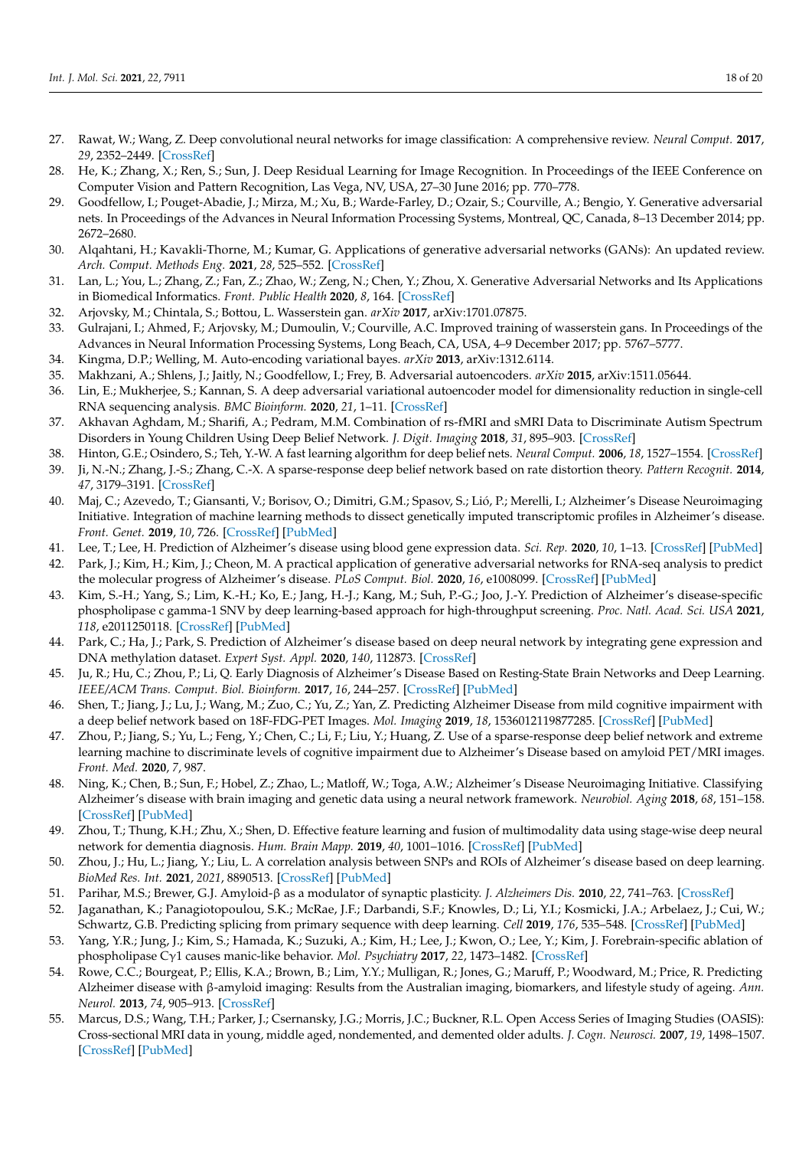- <span id="page-17-0"></span>27. Rawat, W.; Wang, Z. Deep convolutional neural networks for image classification: A comprehensive review. *Neural Comput.* **2017**, *29*, 2352–2449. [\[CrossRef\]](http://doi.org/10.1162/neco_a_00990)
- <span id="page-17-1"></span>28. He, K.; Zhang, X.; Ren, S.; Sun, J. Deep Residual Learning for Image Recognition. In Proceedings of the IEEE Conference on Computer Vision and Pattern Recognition, Las Vega, NV, USA, 27–30 June 2016; pp. 770–778.
- <span id="page-17-2"></span>29. Goodfellow, I.; Pouget-Abadie, J.; Mirza, M.; Xu, B.; Warde-Farley, D.; Ozair, S.; Courville, A.; Bengio, Y. Generative adversarial nets. In Proceedings of the Advances in Neural Information Processing Systems, Montreal, QC, Canada, 8–13 December 2014; pp. 2672–2680.
- <span id="page-17-3"></span>30. Alqahtani, H.; Kavakli-Thorne, M.; Kumar, G. Applications of generative adversarial networks (GANs): An updated review. *Arch. Comput. Methods Eng.* **2021**, *28*, 525–552. [\[CrossRef\]](http://doi.org/10.1007/s11831-019-09388-y)
- <span id="page-17-4"></span>31. Lan, L.; You, L.; Zhang, Z.; Fan, Z.; Zhao, W.; Zeng, N.; Chen, Y.; Zhou, X. Generative Adversarial Networks and Its Applications in Biomedical Informatics. *Front. Public Health* **2020**, *8*, 164. [\[CrossRef\]](http://doi.org/10.3389/fpubh.2020.00164)
- <span id="page-17-5"></span>32. Arjovsky, M.; Chintala, S.; Bottou, L. Wasserstein gan. *arXiv* **2017**, arXiv:1701.07875.
- <span id="page-17-6"></span>33. Gulrajani, I.; Ahmed, F.; Arjovsky, M.; Dumoulin, V.; Courville, A.C. Improved training of wasserstein gans. In Proceedings of the Advances in Neural Information Processing Systems, Long Beach, CA, USA, 4–9 December 2017; pp. 5767–5777.
- <span id="page-17-7"></span>34. Kingma, D.P.; Welling, M. Auto-encoding variational bayes. *arXiv* **2013**, arXiv:1312.6114.
- <span id="page-17-8"></span>35. Makhzani, A.; Shlens, J.; Jaitly, N.; Goodfellow, I.; Frey, B. Adversarial autoencoders. *arXiv* **2015**, arXiv:1511.05644.
- <span id="page-17-9"></span>36. Lin, E.; Mukherjee, S.; Kannan, S. A deep adversarial variational autoencoder model for dimensionality reduction in single-cell RNA sequencing analysis. *BMC Bioinform.* **2020**, *21*, 1–11. [\[CrossRef\]](http://doi.org/10.1186/s12859-020-3401-5)
- <span id="page-17-10"></span>37. Akhavan Aghdam, M.; Sharifi, A.; Pedram, M.M. Combination of rs-fMRI and sMRI Data to Discriminate Autism Spectrum Disorders in Young Children Using Deep Belief Network. *J. Digit. Imaging* **2018**, *31*, 895–903. [\[CrossRef\]](http://doi.org/10.1007/s10278-018-0093-8)
- <span id="page-17-11"></span>38. Hinton, G.E.; Osindero, S.; Teh, Y.-W. A fast learning algorithm for deep belief nets. *Neural Comput.* **2006**, *18*, 1527–1554. [\[CrossRef\]](http://doi.org/10.1162/neco.2006.18.7.1527)
- <span id="page-17-12"></span>39. Ji, N.-N.; Zhang, J.-S.; Zhang, C.-X. A sparse-response deep belief network based on rate distortion theory. *Pattern Recognit.* **2014**, *47*, 3179–3191. [\[CrossRef\]](http://doi.org/10.1016/j.patcog.2014.03.025)
- <span id="page-17-13"></span>40. Maj, C.; Azevedo, T.; Giansanti, V.; Borisov, O.; Dimitri, G.M.; Spasov, S.; Lió, P.; Merelli, I.; Alzheimer's Disease Neuroimaging Initiative. Integration of machine learning methods to dissect genetically imputed transcriptomic profiles in Alzheimer's disease. *Front. Genet.* **2019**, *10*, 726. [\[CrossRef\]](http://doi.org/10.3389/fgene.2019.00726) [\[PubMed\]](http://www.ncbi.nlm.nih.gov/pubmed/31552082)
- <span id="page-17-14"></span>41. Lee, T.; Lee, H. Prediction of Alzheimer's disease using blood gene expression data. *Sci. Rep.* **2020**, *10*, 1–13. [\[CrossRef\]](http://doi.org/10.1038/s41598-020-60595-1) [\[PubMed\]](http://www.ncbi.nlm.nih.gov/pubmed/32103140)
- <span id="page-17-15"></span>42. Park, J.; Kim, H.; Kim, J.; Cheon, M. A practical application of generative adversarial networks for RNA-seq analysis to predict the molecular progress of Alzheimer's disease. *PLoS Comput. Biol.* **2020**, *16*, e1008099. [\[CrossRef\]](http://doi.org/10.1371/journal.pcbi.1008099) [\[PubMed\]](http://www.ncbi.nlm.nih.gov/pubmed/32706788)
- <span id="page-17-16"></span>43. Kim, S.-H.; Yang, S.; Lim, K.-H.; Ko, E.; Jang, H.-J.; Kang, M.; Suh, P.-G.; Joo, J.-Y. Prediction of Alzheimer's disease-specific phospholipase c gamma-1 SNV by deep learning-based approach for high-throughput screening. *Proc. Natl. Acad. Sci. USA* **2021**, *118*, e2011250118. [\[CrossRef\]](http://doi.org/10.1073/pnas.2011250118) [\[PubMed\]](http://www.ncbi.nlm.nih.gov/pubmed/33397809)
- <span id="page-17-17"></span>44. Park, C.; Ha, J.; Park, S. Prediction of Alzheimer's disease based on deep neural network by integrating gene expression and DNA methylation dataset. *Expert Syst. Appl.* **2020**, *140*, 112873. [\[CrossRef\]](http://doi.org/10.1016/j.eswa.2019.112873)
- <span id="page-17-18"></span>45. Ju, R.; Hu, C.; Zhou, P.; Li, Q. Early Diagnosis of Alzheimer's Disease Based on Resting-State Brain Networks and Deep Learning. *IEEE/ACM Trans. Comput. Biol. Bioinform.* **2017**, *16*, 244–257. [\[CrossRef\]](http://doi.org/10.1109/TCBB.2017.2776910) [\[PubMed\]](http://www.ncbi.nlm.nih.gov/pubmed/29989989)
- <span id="page-17-19"></span>46. Shen, T.; Jiang, J.; Lu, J.; Wang, M.; Zuo, C.; Yu, Z.; Yan, Z. Predicting Alzheimer Disease from mild cognitive impairment with a deep belief network based on 18F-FDG-PET Images. *Mol. Imaging* **2019**, *18*, 1536012119877285. [\[CrossRef\]](http://doi.org/10.1177/1536012119877285) [\[PubMed\]](http://www.ncbi.nlm.nih.gov/pubmed/31552787)
- <span id="page-17-20"></span>47. Zhou, P.; Jiang, S.; Yu, L.; Feng, Y.; Chen, C.; Li, F.; Liu, Y.; Huang, Z. Use of a sparse-response deep belief network and extreme learning machine to discriminate levels of cognitive impairment due to Alzheimer's Disease based on amyloid PET/MRI images. *Front. Med.* **2020**, *7*, 987.
- <span id="page-17-21"></span>48. Ning, K.; Chen, B.; Sun, F.; Hobel, Z.; Zhao, L.; Matloff, W.; Toga, A.W.; Alzheimer's Disease Neuroimaging Initiative. Classifying Alzheimer's disease with brain imaging and genetic data using a neural network framework. *Neurobiol. Aging* **2018**, *68*, 151–158. [\[CrossRef\]](http://doi.org/10.1016/j.neurobiolaging.2018.04.009) [\[PubMed\]](http://www.ncbi.nlm.nih.gov/pubmed/29784544)
- <span id="page-17-22"></span>49. Zhou, T.; Thung, K.H.; Zhu, X.; Shen, D. Effective feature learning and fusion of multimodality data using stage-wise deep neural network for dementia diagnosis. *Hum. Brain Mapp.* **2019**, *40*, 1001–1016. [\[CrossRef\]](http://doi.org/10.1002/hbm.24428) [\[PubMed\]](http://www.ncbi.nlm.nih.gov/pubmed/30381863)
- <span id="page-17-23"></span>50. Zhou, J.; Hu, L.; Jiang, Y.; Liu, L. A correlation analysis between SNPs and ROIs of Alzheimer's disease based on deep learning. *BioMed Res. Int.* **2021**, *2021*, 8890513. [\[CrossRef\]](http://doi.org/10.1155/2021/8890513) [\[PubMed\]](http://www.ncbi.nlm.nih.gov/pubmed/33628827)
- <span id="page-17-24"></span>51. Parihar, M.S.; Brewer, G.J. Amyloid-β as a modulator of synaptic plasticity. *J. Alzheimers Dis.* **2010**, *22*, 741–763. [\[CrossRef\]](http://doi.org/10.3233/JAD-2010-101020)
- <span id="page-17-25"></span>52. Jaganathan, K.; Panagiotopoulou, S.K.; McRae, J.F.; Darbandi, S.F.; Knowles, D.; Li, Y.I.; Kosmicki, J.A.; Arbelaez, J.; Cui, W.; Schwartz, G.B. Predicting splicing from primary sequence with deep learning. *Cell* **2019**, *176*, 535–548. [\[CrossRef\]](http://doi.org/10.1016/j.cell.2018.12.015) [\[PubMed\]](http://www.ncbi.nlm.nih.gov/pubmed/30661751)
- <span id="page-17-26"></span>53. Yang, Y.R.; Jung, J.; Kim, S.; Hamada, K.; Suzuki, A.; Kim, H.; Lee, J.; Kwon, O.; Lee, Y.; Kim, J. Forebrain-specific ablation of phospholipase Cγ1 causes manic-like behavior. *Mol. Psychiatry* **2017**, *22*, 1473–1482. [\[CrossRef\]](http://doi.org/10.1038/mp.2016.261)
- <span id="page-17-27"></span>54. Rowe, C.C.; Bourgeat, P.; Ellis, K.A.; Brown, B.; Lim, Y.Y.; Mulligan, R.; Jones, G.; Maruff, P.; Woodward, M.; Price, R. Predicting Alzheimer disease with β-amyloid imaging: Results from the Australian imaging, biomarkers, and lifestyle study of ageing. *Ann. Neurol.* **2013**, *74*, 905–913. [\[CrossRef\]](http://doi.org/10.1002/ana.24040)
- <span id="page-17-28"></span>55. Marcus, D.S.; Wang, T.H.; Parker, J.; Csernansky, J.G.; Morris, J.C.; Buckner, R.L. Open Access Series of Imaging Studies (OASIS): Cross-sectional MRI data in young, middle aged, nondemented, and demented older adults. *J. Cogn. Neurosci.* **2007**, *19*, 1498–1507. [\[CrossRef\]](http://doi.org/10.1162/jocn.2007.19.9.1498) [\[PubMed\]](http://www.ncbi.nlm.nih.gov/pubmed/17714011)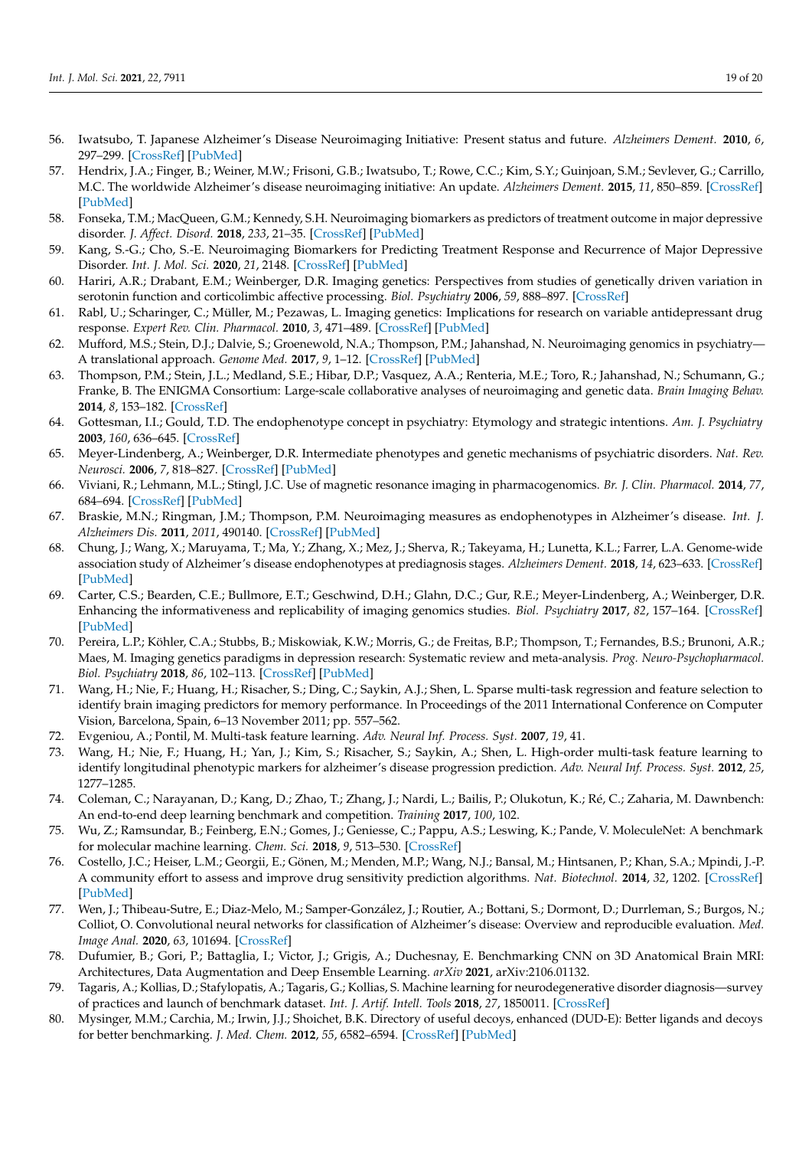- <span id="page-18-0"></span>56. Iwatsubo, T. Japanese Alzheimer's Disease Neuroimaging Initiative: Present status and future. *Alzheimers Dement.* **2010**, *6*, 297–299. [\[CrossRef\]](http://doi.org/10.1016/j.jalz.2010.03.011) [\[PubMed\]](http://www.ncbi.nlm.nih.gov/pubmed/20451880)
- <span id="page-18-1"></span>57. Hendrix, J.A.; Finger, B.; Weiner, M.W.; Frisoni, G.B.; Iwatsubo, T.; Rowe, C.C.; Kim, S.Y.; Guinjoan, S.M.; Sevlever, G.; Carrillo, M.C. The worldwide Alzheimer's disease neuroimaging initiative: An update. *Alzheimers Dement.* **2015**, *11*, 850–859. [\[CrossRef\]](http://doi.org/10.1016/j.jalz.2015.05.008) [\[PubMed\]](http://www.ncbi.nlm.nih.gov/pubmed/26194318)
- <span id="page-18-2"></span>58. Fonseka, T.M.; MacQueen, G.M.; Kennedy, S.H. Neuroimaging biomarkers as predictors of treatment outcome in major depressive disorder. *J. Affect. Disord.* **2018**, *233*, 21–35. [\[CrossRef\]](http://doi.org/10.1016/j.jad.2017.10.049) [\[PubMed\]](http://www.ncbi.nlm.nih.gov/pubmed/29150145)
- <span id="page-18-3"></span>59. Kang, S.-G.; Cho, S.-E. Neuroimaging Biomarkers for Predicting Treatment Response and Recurrence of Major Depressive Disorder. *Int. J. Mol. Sci.* **2020**, *21*, 2148. [\[CrossRef\]](http://doi.org/10.3390/ijms21062148) [\[PubMed\]](http://www.ncbi.nlm.nih.gov/pubmed/32245086)
- <span id="page-18-4"></span>60. Hariri, A.R.; Drabant, E.M.; Weinberger, D.R. Imaging genetics: Perspectives from studies of genetically driven variation in serotonin function and corticolimbic affective processing. *Biol. Psychiatry* **2006**, *59*, 888–897. [\[CrossRef\]](http://doi.org/10.1016/j.biopsych.2005.11.005)
- <span id="page-18-5"></span>61. Rabl, U.; Scharinger, C.; Müller, M.; Pezawas, L. Imaging genetics: Implications for research on variable antidepressant drug response. *Expert Rev. Clin. Pharmacol.* **2010**, *3*, 471–489. [\[CrossRef\]](http://doi.org/10.1586/ecp.10.35) [\[PubMed\]](http://www.ncbi.nlm.nih.gov/pubmed/22111678)
- <span id="page-18-6"></span>62. Mufford, M.S.; Stein, D.J.; Dalvie, S.; Groenewold, N.A.; Thompson, P.M.; Jahanshad, N. Neuroimaging genomics in psychiatry— A translational approach. *Genome Med.* **2017**, *9*, 1–12. [\[CrossRef\]](http://doi.org/10.1186/s13073-017-0496-z) [\[PubMed\]](http://www.ncbi.nlm.nih.gov/pubmed/29179742)
- <span id="page-18-7"></span>63. Thompson, P.M.; Stein, J.L.; Medland, S.E.; Hibar, D.P.; Vasquez, A.A.; Renteria, M.E.; Toro, R.; Jahanshad, N.; Schumann, G.; Franke, B. The ENIGMA Consortium: Large-scale collaborative analyses of neuroimaging and genetic data. *Brain Imaging Behav.* **2014**, *8*, 153–182. [\[CrossRef\]](http://doi.org/10.1007/s11682-013-9269-5)
- <span id="page-18-8"></span>64. Gottesman, I.I.; Gould, T.D. The endophenotype concept in psychiatry: Etymology and strategic intentions. *Am. J. Psychiatry* **2003**, *160*, 636–645. [\[CrossRef\]](http://doi.org/10.1176/appi.ajp.160.4.636)
- <span id="page-18-9"></span>65. Meyer-Lindenberg, A.; Weinberger, D.R. Intermediate phenotypes and genetic mechanisms of psychiatric disorders. *Nat. Rev. Neurosci.* **2006**, *7*, 818–827. [\[CrossRef\]](http://doi.org/10.1038/nrn1993) [\[PubMed\]](http://www.ncbi.nlm.nih.gov/pubmed/16988657)
- <span id="page-18-10"></span>66. Viviani, R.; Lehmann, M.L.; Stingl, J.C. Use of magnetic resonance imaging in pharmacogenomics. *Br. J. Clin. Pharmacol.* **2014**, *77*, 684–694. [\[CrossRef\]](http://doi.org/10.1111/bcp.12197) [\[PubMed\]](http://www.ncbi.nlm.nih.gov/pubmed/23802603)
- <span id="page-18-11"></span>67. Braskie, M.N.; Ringman, J.M.; Thompson, P.M. Neuroimaging measures as endophenotypes in Alzheimer's disease. *Int. J. Alzheimers Dis.* **2011**, *2011*, 490140. [\[CrossRef\]](http://doi.org/10.4061/2011/490140) [\[PubMed\]](http://www.ncbi.nlm.nih.gov/pubmed/21547229)
- <span id="page-18-12"></span>68. Chung, J.; Wang, X.; Maruyama, T.; Ma, Y.; Zhang, X.; Mez, J.; Sherva, R.; Takeyama, H.; Lunetta, K.L.; Farrer, L.A. Genome-wide association study of Alzheimer's disease endophenotypes at prediagnosis stages. *Alzheimers Dement.* **2018**, *14*, 623–633. [\[CrossRef\]](http://doi.org/10.1016/j.jalz.2017.11.006) [\[PubMed\]](http://www.ncbi.nlm.nih.gov/pubmed/29274321)
- <span id="page-18-13"></span>69. Carter, C.S.; Bearden, C.E.; Bullmore, E.T.; Geschwind, D.H.; Glahn, D.C.; Gur, R.E.; Meyer-Lindenberg, A.; Weinberger, D.R. Enhancing the informativeness and replicability of imaging genomics studies. *Biol. Psychiatry* **2017**, *82*, 157–164. [\[CrossRef\]](http://doi.org/10.1016/j.biopsych.2016.08.019) [\[PubMed\]](http://www.ncbi.nlm.nih.gov/pubmed/27793332)
- <span id="page-18-14"></span>70. Pereira, L.P.; Köhler, C.A.; Stubbs, B.; Miskowiak, K.W.; Morris, G.; de Freitas, B.P.; Thompson, T.; Fernandes, B.S.; Brunoni, A.R.; Maes, M. Imaging genetics paradigms in depression research: Systematic review and meta-analysis. *Prog. Neuro-Psychopharmacol. Biol. Psychiatry* **2018**, *86*, 102–113. [\[CrossRef\]](http://doi.org/10.1016/j.pnpbp.2018.05.012) [\[PubMed\]](http://www.ncbi.nlm.nih.gov/pubmed/29778546)
- <span id="page-18-15"></span>71. Wang, H.; Nie, F.; Huang, H.; Risacher, S.; Ding, C.; Saykin, A.J.; Shen, L. Sparse multi-task regression and feature selection to identify brain imaging predictors for memory performance. In Proceedings of the 2011 International Conference on Computer Vision, Barcelona, Spain, 6–13 November 2011; pp. 557–562.
- <span id="page-18-16"></span>72. Evgeniou, A.; Pontil, M. Multi-task feature learning. *Adv. Neural Inf. Process. Syst.* **2007**, *19*, 41.
- <span id="page-18-17"></span>73. Wang, H.; Nie, F.; Huang, H.; Yan, J.; Kim, S.; Risacher, S.; Saykin, A.; Shen, L. High-order multi-task feature learning to identify longitudinal phenotypic markers for alzheimer's disease progression prediction. *Adv. Neural Inf. Process. Syst.* **2012**, *25*, 1277–1285.
- <span id="page-18-18"></span>74. Coleman, C.; Narayanan, D.; Kang, D.; Zhao, T.; Zhang, J.; Nardi, L.; Bailis, P.; Olukotun, K.; Ré, C.; Zaharia, M. Dawnbench: An end-to-end deep learning benchmark and competition. *Training* **2017**, *100*, 102.
- <span id="page-18-19"></span>75. Wu, Z.; Ramsundar, B.; Feinberg, E.N.; Gomes, J.; Geniesse, C.; Pappu, A.S.; Leswing, K.; Pande, V. MoleculeNet: A benchmark for molecular machine learning. *Chem. Sci.* **2018**, *9*, 513–530. [\[CrossRef\]](http://doi.org/10.1039/C7SC02664A)
- <span id="page-18-20"></span>76. Costello, J.C.; Heiser, L.M.; Georgii, E.; Gönen, M.; Menden, M.P.; Wang, N.J.; Bansal, M.; Hintsanen, P.; Khan, S.A.; Mpindi, J.-P. A community effort to assess and improve drug sensitivity prediction algorithms. *Nat. Biotechnol.* **2014**, *32*, 1202. [\[CrossRef\]](http://doi.org/10.1038/nbt.2877) [\[PubMed\]](http://www.ncbi.nlm.nih.gov/pubmed/24880487)
- <span id="page-18-21"></span>77. Wen, J.; Thibeau-Sutre, E.; Diaz-Melo, M.; Samper-González, J.; Routier, A.; Bottani, S.; Dormont, D.; Durrleman, S.; Burgos, N.; Colliot, O. Convolutional neural networks for classification of Alzheimer's disease: Overview and reproducible evaluation. *Med. Image Anal.* **2020**, *63*, 101694. [\[CrossRef\]](http://doi.org/10.1016/j.media.2020.101694)
- <span id="page-18-24"></span>78. Dufumier, B.; Gori, P.; Battaglia, I.; Victor, J.; Grigis, A.; Duchesnay, E. Benchmarking CNN on 3D Anatomical Brain MRI: Architectures, Data Augmentation and Deep Ensemble Learning. *arXiv* **2021**, arXiv:2106.01132.
- <span id="page-18-22"></span>79. Tagaris, A.; Kollias, D.; Stafylopatis, A.; Tagaris, G.; Kollias, S. Machine learning for neurodegenerative disorder diagnosis—survey of practices and launch of benchmark dataset. *Int. J. Artif. Intell. Tools* **2018**, *27*, 1850011. [\[CrossRef\]](http://doi.org/10.1142/S0218213018500112)
- <span id="page-18-23"></span>80. Mysinger, M.M.; Carchia, M.; Irwin, J.J.; Shoichet, B.K. Directory of useful decoys, enhanced (DUD-E): Better ligands and decoys for better benchmarking. *J. Med. Chem.* **2012**, *55*, 6582–6594. [\[CrossRef\]](http://doi.org/10.1021/jm300687e) [\[PubMed\]](http://www.ncbi.nlm.nih.gov/pubmed/22716043)